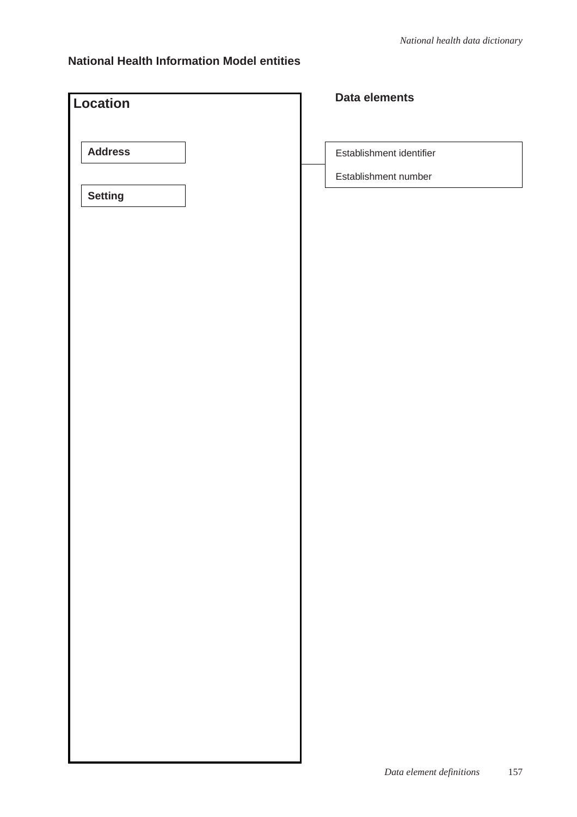| Location       | Data elements            |
|----------------|--------------------------|
|                |                          |
| <b>Address</b> | Establishment identifier |
|                | Establishment number     |
| <b>Setting</b> |                          |
|                |                          |
|                |                          |
|                |                          |
|                |                          |
|                |                          |
|                |                          |
|                |                          |
|                |                          |
|                |                          |
|                |                          |
|                |                          |
|                |                          |
|                |                          |
|                |                          |
|                |                          |
|                |                          |
|                |                          |
|                |                          |
|                |                          |
|                |                          |
|                |                          |
|                |                          |
|                |                          |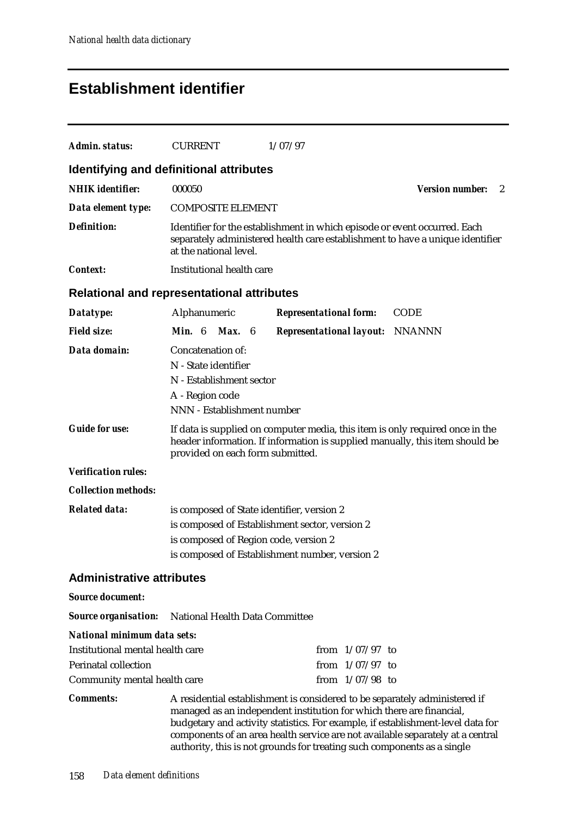# **Establishment identifier**

| Admin. status:                                                  | <b>CURRENT</b>                                                                                                                                                                                    | 1/07/97                                                                                                                                                                                                                                                                                                                                                                                            |             |  |  |
|-----------------------------------------------------------------|---------------------------------------------------------------------------------------------------------------------------------------------------------------------------------------------------|----------------------------------------------------------------------------------------------------------------------------------------------------------------------------------------------------------------------------------------------------------------------------------------------------------------------------------------------------------------------------------------------------|-------------|--|--|
| Identifying and definitional attributes                         |                                                                                                                                                                                                   |                                                                                                                                                                                                                                                                                                                                                                                                    |             |  |  |
| <b>NHIK</b> identifier:                                         | 000050<br><b>Version number:</b><br>2                                                                                                                                                             |                                                                                                                                                                                                                                                                                                                                                                                                    |             |  |  |
| Data element type:                                              | <b>COMPOSITE ELEMENT</b>                                                                                                                                                                          |                                                                                                                                                                                                                                                                                                                                                                                                    |             |  |  |
| <b>Definition:</b>                                              | Identifier for the establishment in which episode or event occurred. Each<br>separately administered health care establishment to have a unique identifier<br>at the national level.              |                                                                                                                                                                                                                                                                                                                                                                                                    |             |  |  |
| <i>Context:</i>                                                 | Institutional health care                                                                                                                                                                         |                                                                                                                                                                                                                                                                                                                                                                                                    |             |  |  |
| <b>Relational and representational attributes</b>               |                                                                                                                                                                                                   |                                                                                                                                                                                                                                                                                                                                                                                                    |             |  |  |
| Datatype:                                                       | Alphanumeric                                                                                                                                                                                      | <b>Representational form:</b>                                                                                                                                                                                                                                                                                                                                                                      | <b>CODE</b> |  |  |
| <b>Field size:</b>                                              | Min. 6<br><b>Max.</b> 6                                                                                                                                                                           | <b>Representational layout: NNANNN</b>                                                                                                                                                                                                                                                                                                                                                             |             |  |  |
| Data domain:                                                    | Concatenation of:<br>N - State identifier<br>N - Establishment sector<br>A - Region code<br>NNN - Establishment number                                                                            |                                                                                                                                                                                                                                                                                                                                                                                                    |             |  |  |
| <b>Guide for use:</b>                                           | If data is supplied on computer media, this item is only required once in the<br>header information. If information is supplied manually, this item should be<br>provided on each form submitted. |                                                                                                                                                                                                                                                                                                                                                                                                    |             |  |  |
| <b>Verification rules:</b>                                      |                                                                                                                                                                                                   |                                                                                                                                                                                                                                                                                                                                                                                                    |             |  |  |
| <b>Collection methods:</b>                                      |                                                                                                                                                                                                   |                                                                                                                                                                                                                                                                                                                                                                                                    |             |  |  |
| <b>Related data:</b>                                            | is composed of State identifier, version 2<br>is composed of Establishment sector, version 2<br>is composed of Region code, version 2<br>is composed of Establishment number, version 2           |                                                                                                                                                                                                                                                                                                                                                                                                    |             |  |  |
| <b>Administrative attributes</b>                                |                                                                                                                                                                                                   |                                                                                                                                                                                                                                                                                                                                                                                                    |             |  |  |
| <b>Source document:</b>                                         |                                                                                                                                                                                                   |                                                                                                                                                                                                                                                                                                                                                                                                    |             |  |  |
| <b>Source organisation:</b>                                     | National Health Data Committee                                                                                                                                                                    |                                                                                                                                                                                                                                                                                                                                                                                                    |             |  |  |
| National minimum data sets:                                     |                                                                                                                                                                                                   |                                                                                                                                                                                                                                                                                                                                                                                                    |             |  |  |
| Institutional mental health care<br><b>Perinatal collection</b> |                                                                                                                                                                                                   | from $1/07/97$ to                                                                                                                                                                                                                                                                                                                                                                                  |             |  |  |
| Community mental health care                                    |                                                                                                                                                                                                   | from $1/07/97$ to<br>from $1/07/98$ to                                                                                                                                                                                                                                                                                                                                                             |             |  |  |
| <b>Comments:</b>                                                |                                                                                                                                                                                                   | A residential establishment is considered to be separately administered if<br>managed as an independent institution for which there are financial,<br>budgetary and activity statistics. For example, if establishment-level data for<br>components of an area health service are not available separately at a central<br>authority, this is not grounds for treating such components as a single |             |  |  |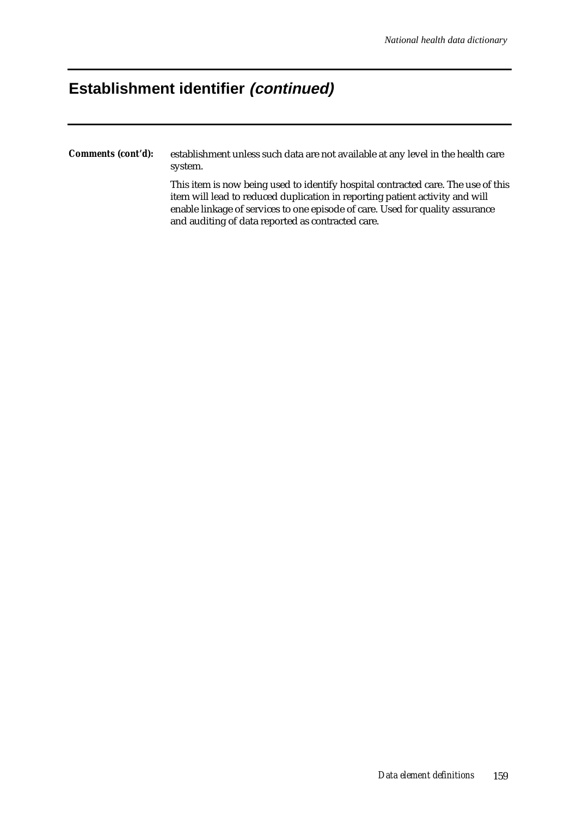## **Establishment identifier (continued)**

*Comments (cont'd):* establishment unless such data are not available at any level in the health care system.

> This item is now being used to identify hospital contracted care. The use of this item will lead to reduced duplication in reporting patient activity and will enable linkage of services to one episode of care. Used for quality assurance and auditing of data reported as contracted care.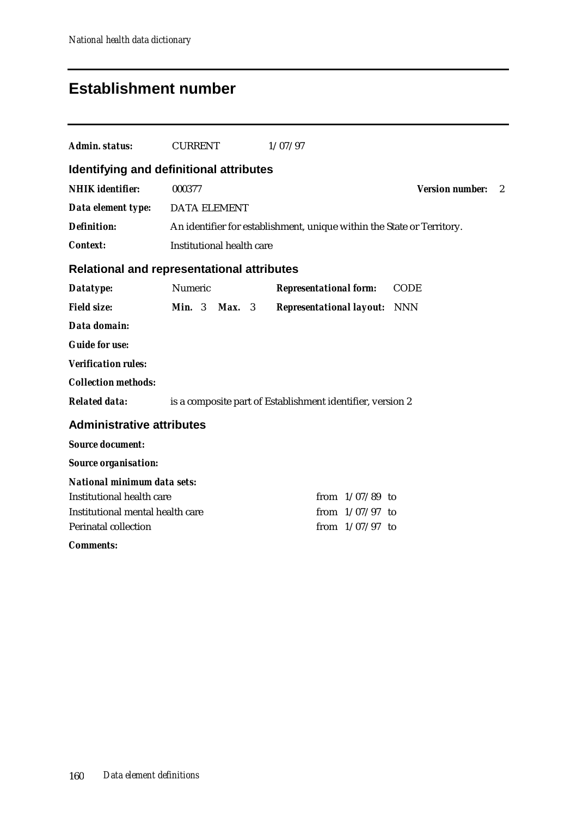# **Establishment number**

| <b>Admin. status:</b>                             | <b>CURRENT</b>              | 1/07/97                                                                |                        |   |
|---------------------------------------------------|-----------------------------|------------------------------------------------------------------------|------------------------|---|
| Identifying and definitional attributes           |                             |                                                                        |                        |   |
| <b>NHIK</b> identifier:                           | 000377                      |                                                                        | <b>Version number:</b> | 2 |
| Data element type: DATA ELEMENT                   |                             |                                                                        |                        |   |
| <b>Definition:</b>                                |                             | An identifier for establishment, unique within the State or Territory. |                        |   |
| <b>Context:</b>                                   | Institutional health care   |                                                                        |                        |   |
| <b>Relational and representational attributes</b> |                             |                                                                        |                        |   |
| Datatype:                                         | Numeric                     | <b>Representational form:</b>                                          | <b>CODE</b>            |   |
| <b>Field size:</b>                                | <b>Min.</b> $3$<br>$Max.$ 3 | <b>Representational layout:</b> NNN                                    |                        |   |
| Data domain:                                      |                             |                                                                        |                        |   |
| <b>Guide for use:</b>                             |                             |                                                                        |                        |   |
| <b>Verification rules:</b>                        |                             |                                                                        |                        |   |
| <b>Collection methods:</b>                        |                             |                                                                        |                        |   |
| <b>Related data:</b>                              |                             | is a composite part of Establishment identifier, version 2             |                        |   |
| <b>Administrative attributes</b>                  |                             |                                                                        |                        |   |
| <b>Source document:</b>                           |                             |                                                                        |                        |   |
| <b>Source organisation:</b>                       |                             |                                                                        |                        |   |
| <b>National minimum data sets:</b>                |                             |                                                                        |                        |   |
| Institutional health care                         |                             | from $1/07/89$ to                                                      |                        |   |
| Institutional mental health care                  |                             | from $1/07/97$ to                                                      |                        |   |
| <b>Perinatal collection</b>                       |                             | from $1/07/97$ to                                                      |                        |   |
| <b>Comments:</b>                                  |                             |                                                                        |                        |   |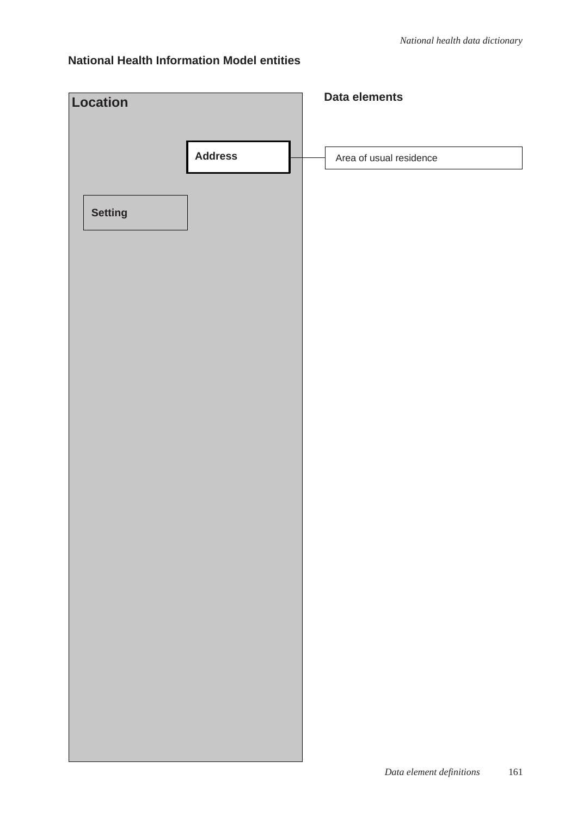| Location       |                | Data elements                   |
|----------------|----------------|---------------------------------|
|                | <b>Address</b> | Area of usual residence         |
| <b>Setting</b> |                |                                 |
|                |                |                                 |
|                |                |                                 |
|                |                |                                 |
|                |                |                                 |
|                |                |                                 |
|                |                |                                 |
|                |                |                                 |
|                |                |                                 |
|                |                |                                 |
|                |                |                                 |
|                |                | Data element definitions<br>161 |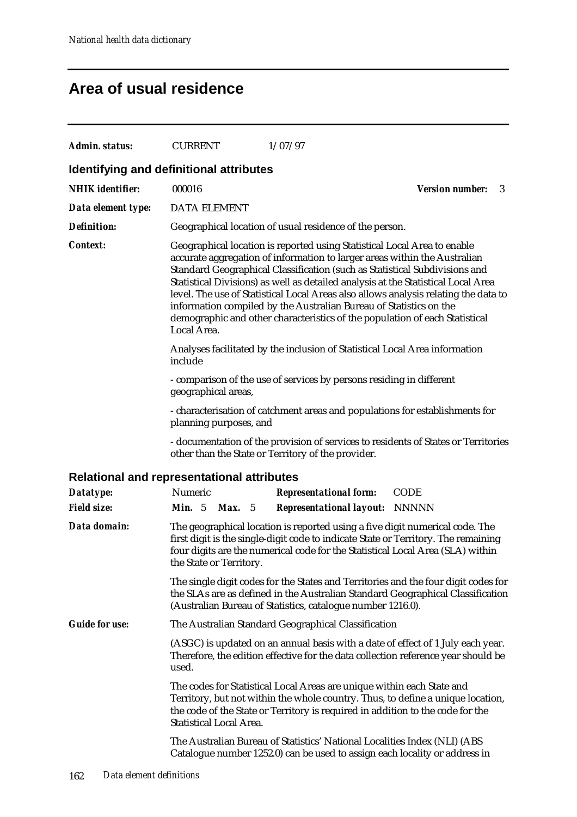# **Area of usual residence**

| <b>Admin. status:</b>                             | <b>CURRENT</b>                                                                                                                                                                |                                                                                                                                                                                                                                                                                                                                                                                                                                                                                                                                                                      | 1/07/97                                                                                                                                                                                                                                              |                             |  |  |
|---------------------------------------------------|-------------------------------------------------------------------------------------------------------------------------------------------------------------------------------|----------------------------------------------------------------------------------------------------------------------------------------------------------------------------------------------------------------------------------------------------------------------------------------------------------------------------------------------------------------------------------------------------------------------------------------------------------------------------------------------------------------------------------------------------------------------|------------------------------------------------------------------------------------------------------------------------------------------------------------------------------------------------------------------------------------------------------|-----------------------------|--|--|
| Identifying and definitional attributes           |                                                                                                                                                                               |                                                                                                                                                                                                                                                                                                                                                                                                                                                                                                                                                                      |                                                                                                                                                                                                                                                      |                             |  |  |
| <b>NHIK</b> identifier:                           | 000016                                                                                                                                                                        |                                                                                                                                                                                                                                                                                                                                                                                                                                                                                                                                                                      |                                                                                                                                                                                                                                                      | <b>Version number:</b><br>3 |  |  |
| Data element type:                                | <b>DATA ELEMENT</b>                                                                                                                                                           |                                                                                                                                                                                                                                                                                                                                                                                                                                                                                                                                                                      |                                                                                                                                                                                                                                                      |                             |  |  |
| <b>Definition:</b>                                |                                                                                                                                                                               | Geographical location of usual residence of the person.                                                                                                                                                                                                                                                                                                                                                                                                                                                                                                              |                                                                                                                                                                                                                                                      |                             |  |  |
| <b>Context:</b>                                   | Local Area.                                                                                                                                                                   | Geographical location is reported using Statistical Local Area to enable<br>accurate aggregation of information to larger areas within the Australian<br>Standard Geographical Classification (such as Statistical Subdivisions and<br>Statistical Divisions) as well as detailed analysis at the Statistical Local Area<br>level. The use of Statistical Local Areas also allows analysis relating the data to<br>information compiled by the Australian Bureau of Statistics on the<br>demographic and other characteristics of the population of each Statistical |                                                                                                                                                                                                                                                      |                             |  |  |
|                                                   | include                                                                                                                                                                       | Analyses facilitated by the inclusion of Statistical Local Area information                                                                                                                                                                                                                                                                                                                                                                                                                                                                                          |                                                                                                                                                                                                                                                      |                             |  |  |
|                                                   | - comparison of the use of services by persons residing in different<br>geographical areas,                                                                                   |                                                                                                                                                                                                                                                                                                                                                                                                                                                                                                                                                                      |                                                                                                                                                                                                                                                      |                             |  |  |
|                                                   | planning purposes, and                                                                                                                                                        |                                                                                                                                                                                                                                                                                                                                                                                                                                                                                                                                                                      | - characterisation of catchment areas and populations for establishments for                                                                                                                                                                         |                             |  |  |
|                                                   |                                                                                                                                                                               |                                                                                                                                                                                                                                                                                                                                                                                                                                                                                                                                                                      | - documentation of the provision of services to residents of States or Territories<br>other than the State or Territory of the provider.                                                                                                             |                             |  |  |
| <b>Relational and representational attributes</b> |                                                                                                                                                                               |                                                                                                                                                                                                                                                                                                                                                                                                                                                                                                                                                                      |                                                                                                                                                                                                                                                      |                             |  |  |
| Datatype:                                         | Numeric                                                                                                                                                                       |                                                                                                                                                                                                                                                                                                                                                                                                                                                                                                                                                                      | <b>Representational form:</b>                                                                                                                                                                                                                        | <b>CODE</b>                 |  |  |
| <b>Field size:</b>                                | Min. $5$<br><b>Max.</b> 5                                                                                                                                                     |                                                                                                                                                                                                                                                                                                                                                                                                                                                                                                                                                                      | <b>Representational layout: NNNNN</b>                                                                                                                                                                                                                |                             |  |  |
| Data domain:                                      | the State or Territory.                                                                                                                                                       |                                                                                                                                                                                                                                                                                                                                                                                                                                                                                                                                                                      | The geographical location is reported using a five digit numerical code. The<br>first digit is the single-digit code to indicate State or Territory. The remaining<br>four digits are the numerical code for the Statistical Local Area (SLA) within |                             |  |  |
|                                                   |                                                                                                                                                                               |                                                                                                                                                                                                                                                                                                                                                                                                                                                                                                                                                                      | The single digit codes for the States and Territories and the four digit codes for<br>the SLAs are as defined in the Australian Standard Geographical Classification<br>(Australian Bureau of Statistics, catalogue number 1216.0).                  |                             |  |  |
| <b>Guide for use:</b>                             | The Australian Standard Geographical Classification                                                                                                                           |                                                                                                                                                                                                                                                                                                                                                                                                                                                                                                                                                                      |                                                                                                                                                                                                                                                      |                             |  |  |
|                                                   | (ASGC) is updated on an annual basis with a date of effect of 1 July each year.<br>Therefore, the edition effective for the data collection reference year should be<br>used. |                                                                                                                                                                                                                                                                                                                                                                                                                                                                                                                                                                      |                                                                                                                                                                                                                                                      |                             |  |  |
|                                                   | <b>Statistical Local Area.</b>                                                                                                                                                |                                                                                                                                                                                                                                                                                                                                                                                                                                                                                                                                                                      | The codes for Statistical Local Areas are unique within each State and<br>Territory, but not within the whole country. Thus, to define a unique location,<br>the code of the State or Territory is required in addition to the code for the          |                             |  |  |
|                                                   |                                                                                                                                                                               |                                                                                                                                                                                                                                                                                                                                                                                                                                                                                                                                                                      | The Australian Bureau of Statistics' National Localities Index (NLI) (ABS<br>Catalogue number 1252.0) can be used to assign each locality or address in                                                                                              |                             |  |  |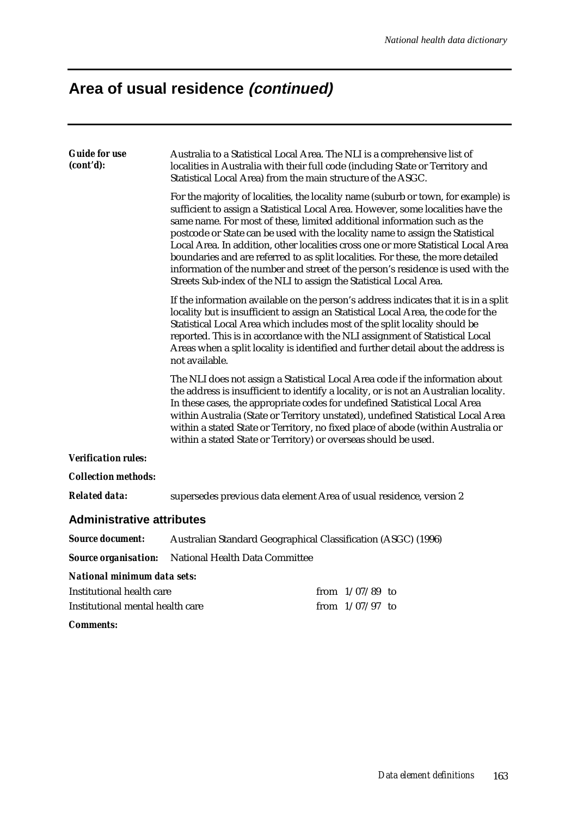# **Area of usual residence (continued)**

| <b>Guide for use</b><br>(cont'd): | Australia to a Statistical Local Area. The NLI is a comprehensive list of<br>localities in Australia with their full code (including State or Territory and<br>Statistical Local Area) from the main structure of the ASGC.                                                                                                                                                                                                                                                                      |                                                                                                                                                                                                                                                                                                                                                                                                                                                                                                                                                                                                   |  |  |
|-----------------------------------|--------------------------------------------------------------------------------------------------------------------------------------------------------------------------------------------------------------------------------------------------------------------------------------------------------------------------------------------------------------------------------------------------------------------------------------------------------------------------------------------------|---------------------------------------------------------------------------------------------------------------------------------------------------------------------------------------------------------------------------------------------------------------------------------------------------------------------------------------------------------------------------------------------------------------------------------------------------------------------------------------------------------------------------------------------------------------------------------------------------|--|--|
|                                   | Streets Sub-index of the NLI to assign the Statistical Local Area.                                                                                                                                                                                                                                                                                                                                                                                                                               | For the majority of localities, the locality name (suburb or town, for example) is<br>sufficient to assign a Statistical Local Area. However, some localities have the<br>same name. For most of these, limited additional information such as the<br>postcode or State can be used with the locality name to assign the Statistical<br>Local Area. In addition, other localities cross one or more Statistical Local Area<br>boundaries and are referred to as split localities. For these, the more detailed<br>information of the number and street of the person's residence is used with the |  |  |
|                                   | If the information available on the person's address indicates that it is in a split<br>locality but is insufficient to assign an Statistical Local Area, the code for the<br>Statistical Local Area which includes most of the split locality should be<br>reported. This is in accordance with the NLI assignment of Statistical Local<br>Areas when a split locality is identified and further detail about the address is<br>not available.                                                  |                                                                                                                                                                                                                                                                                                                                                                                                                                                                                                                                                                                                   |  |  |
|                                   | The NLI does not assign a Statistical Local Area code if the information about<br>the address is insufficient to identify a locality, or is not an Australian locality.<br>In these cases, the appropriate codes for undefined Statistical Local Area<br>within Australia (State or Territory unstated), undefined Statistical Local Area<br>within a stated State or Territory, no fixed place of abode (within Australia or<br>within a stated State or Territory) or overseas should be used. |                                                                                                                                                                                                                                                                                                                                                                                                                                                                                                                                                                                                   |  |  |
| <b>Verification rules:</b>        |                                                                                                                                                                                                                                                                                                                                                                                                                                                                                                  |                                                                                                                                                                                                                                                                                                                                                                                                                                                                                                                                                                                                   |  |  |
| <b>Collection methods:</b>        |                                                                                                                                                                                                                                                                                                                                                                                                                                                                                                  |                                                                                                                                                                                                                                                                                                                                                                                                                                                                                                                                                                                                   |  |  |
| <b>Related data:</b>              |                                                                                                                                                                                                                                                                                                                                                                                                                                                                                                  | supersedes previous data element Area of usual residence, version 2                                                                                                                                                                                                                                                                                                                                                                                                                                                                                                                               |  |  |
| <b>Administrative attributes</b>  |                                                                                                                                                                                                                                                                                                                                                                                                                                                                                                  |                                                                                                                                                                                                                                                                                                                                                                                                                                                                                                                                                                                                   |  |  |
| <b>Source document:</b>           | Australian Standard Geographical Classification (ASGC) (1996)                                                                                                                                                                                                                                                                                                                                                                                                                                    |                                                                                                                                                                                                                                                                                                                                                                                                                                                                                                                                                                                                   |  |  |
| <b>Source organisation:</b>       | National Health Data Committee                                                                                                                                                                                                                                                                                                                                                                                                                                                                   |                                                                                                                                                                                                                                                                                                                                                                                                                                                                                                                                                                                                   |  |  |
| National minimum data sets:       |                                                                                                                                                                                                                                                                                                                                                                                                                                                                                                  |                                                                                                                                                                                                                                                                                                                                                                                                                                                                                                                                                                                                   |  |  |
| Institutional health care         |                                                                                                                                                                                                                                                                                                                                                                                                                                                                                                  | from $1/07/89$ to                                                                                                                                                                                                                                                                                                                                                                                                                                                                                                                                                                                 |  |  |
| Institutional mental health care  |                                                                                                                                                                                                                                                                                                                                                                                                                                                                                                  | from $1/07/97$ to                                                                                                                                                                                                                                                                                                                                                                                                                                                                                                                                                                                 |  |  |
| <i>Comments:</i>                  |                                                                                                                                                                                                                                                                                                                                                                                                                                                                                                  |                                                                                                                                                                                                                                                                                                                                                                                                                                                                                                                                                                                                   |  |  |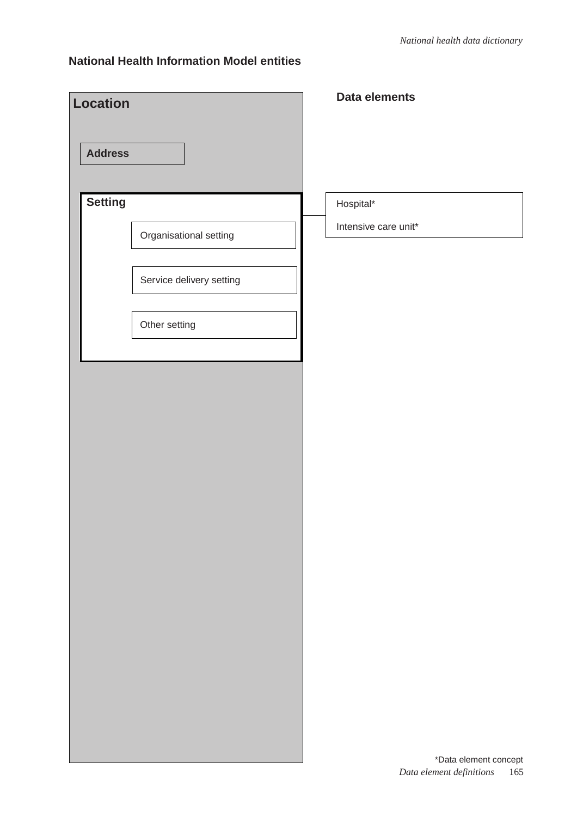| <b>Location</b> |                                                                     | Data elements                     |
|-----------------|---------------------------------------------------------------------|-----------------------------------|
| <b>Address</b>  |                                                                     |                                   |
| Setting         | Organisational setting<br>Service delivery setting<br>Other setting | Hospital*<br>Intensive care unit* |
|                 |                                                                     | *Data element concept             |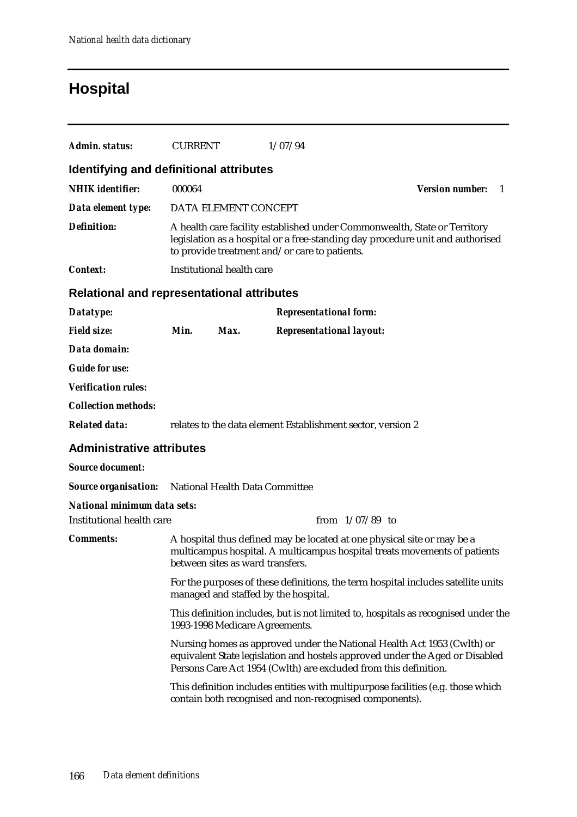# **Hospital**

| <b>Admin. status:</b>                             | <b>CURRENT</b> |                                                                                                                                                                                                              | 1/07/94                                                                                                                                                                                                                     |                               |  |
|---------------------------------------------------|----------------|--------------------------------------------------------------------------------------------------------------------------------------------------------------------------------------------------------------|-----------------------------------------------------------------------------------------------------------------------------------------------------------------------------------------------------------------------------|-------------------------------|--|
| Identifying and definitional attributes           |                |                                                                                                                                                                                                              |                                                                                                                                                                                                                             |                               |  |
| <b>NHIK</b> identifier:                           | 000064         |                                                                                                                                                                                                              |                                                                                                                                                                                                                             | <b>Version number:</b><br>- 1 |  |
| Data element type:                                |                | DATA ELEMENT CONCEPT                                                                                                                                                                                         |                                                                                                                                                                                                                             |                               |  |
| <b>Definition:</b>                                |                | A health care facility established under Commonwealth, State or Territory<br>legislation as a hospital or a free-standing day procedure unit and authorised<br>to provide treatment and/or care to patients. |                                                                                                                                                                                                                             |                               |  |
| <b>Context:</b>                                   |                | Institutional health care                                                                                                                                                                                    |                                                                                                                                                                                                                             |                               |  |
| <b>Relational and representational attributes</b> |                |                                                                                                                                                                                                              |                                                                                                                                                                                                                             |                               |  |
| Datatype:                                         |                |                                                                                                                                                                                                              | <b>Representational form:</b>                                                                                                                                                                                               |                               |  |
| <b>Field size:</b>                                | Min.           | Max.                                                                                                                                                                                                         | <b>Representational layout:</b>                                                                                                                                                                                             |                               |  |
| Data domain:                                      |                |                                                                                                                                                                                                              |                                                                                                                                                                                                                             |                               |  |
| <b>Guide for use:</b>                             |                |                                                                                                                                                                                                              |                                                                                                                                                                                                                             |                               |  |
| <b>Verification rules:</b>                        |                |                                                                                                                                                                                                              |                                                                                                                                                                                                                             |                               |  |
| <b>Collection methods:</b>                        |                |                                                                                                                                                                                                              |                                                                                                                                                                                                                             |                               |  |
| <b>Related data:</b>                              |                |                                                                                                                                                                                                              | relates to the data element Establishment sector, version 2                                                                                                                                                                 |                               |  |
| <b>Administrative attributes</b>                  |                |                                                                                                                                                                                                              |                                                                                                                                                                                                                             |                               |  |
| <b>Source document:</b>                           |                |                                                                                                                                                                                                              |                                                                                                                                                                                                                             |                               |  |
| <b>Source organisation:</b>                       |                | National Health Data Committee                                                                                                                                                                               |                                                                                                                                                                                                                             |                               |  |
| National minimum data sets:                       |                |                                                                                                                                                                                                              |                                                                                                                                                                                                                             |                               |  |
| Institutional health care                         |                |                                                                                                                                                                                                              | from $1/07/89$ to                                                                                                                                                                                                           |                               |  |
| <b>Comments:</b>                                  |                | between sites as ward transfers.                                                                                                                                                                             | A hospital thus defined may be located at one physical site or may be a<br>multicampus hospital. A multicampus hospital treats movements of patients                                                                        |                               |  |
|                                                   |                |                                                                                                                                                                                                              | For the purposes of these definitions, the term hospital includes satellite units<br>managed and staffed by the hospital.                                                                                                   |                               |  |
|                                                   |                | 1993-1998 Medicare Agreements.                                                                                                                                                                               | This definition includes, but is not limited to, hospitals as recognised under the                                                                                                                                          |                               |  |
|                                                   |                |                                                                                                                                                                                                              | Nursing homes as approved under the National Health Act 1953 (Cwlth) or<br>equivalent State legislation and hostels approved under the Aged or Disabled<br>Persons Care Act 1954 (Cwlth) are excluded from this definition. |                               |  |
|                                                   |                |                                                                                                                                                                                                              | This definition includes entities with multipurpose facilities (e.g. those which<br>contain both recognised and non-recognised components).                                                                                 |                               |  |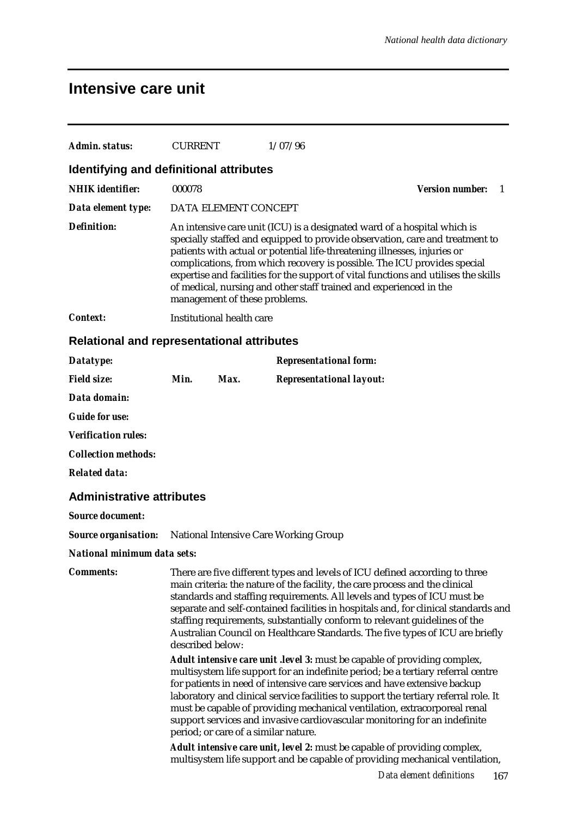## **Intensive care unit**

| <b>Admin. status:</b>                                             | <b>CURRENT</b>   |                               | 1/07/96                                                                                                                                                                                                                                                                                                                                                                                                                                                                                              |                              |
|-------------------------------------------------------------------|------------------|-------------------------------|------------------------------------------------------------------------------------------------------------------------------------------------------------------------------------------------------------------------------------------------------------------------------------------------------------------------------------------------------------------------------------------------------------------------------------------------------------------------------------------------------|------------------------------|
| Identifying and definitional attributes                           |                  |                               |                                                                                                                                                                                                                                                                                                                                                                                                                                                                                                      |                              |
| <b>NHIK</b> identifier:                                           | 000078           |                               |                                                                                                                                                                                                                                                                                                                                                                                                                                                                                                      | <b>Version number:</b><br>-1 |
| Data element type:                                                |                  | DATA ELEMENT CONCEPT          |                                                                                                                                                                                                                                                                                                                                                                                                                                                                                                      |                              |
| <b>Definition:</b>                                                |                  | management of these problems. | An intensive care unit (ICU) is a designated ward of a hospital which is<br>specially staffed and equipped to provide observation, care and treatment to<br>patients with actual or potential life-threatening illnesses, injuries or<br>complications, from which recovery is possible. The ICU provides special<br>expertise and facilities for the support of vital functions and utilises the skills<br>of medical, nursing and other staff trained and experienced in the                       |                              |
| <b>Context:</b>                                                   |                  | Institutional health care     |                                                                                                                                                                                                                                                                                                                                                                                                                                                                                                      |                              |
| <b>Relational and representational attributes</b>                 |                  |                               |                                                                                                                                                                                                                                                                                                                                                                                                                                                                                                      |                              |
| Datatype:                                                         |                  |                               | <b>Representational form:</b>                                                                                                                                                                                                                                                                                                                                                                                                                                                                        |                              |
| <b>Field size:</b>                                                | Min.             | Max.                          | <b>Representational layout:</b>                                                                                                                                                                                                                                                                                                                                                                                                                                                                      |                              |
| Data domain:                                                      |                  |                               |                                                                                                                                                                                                                                                                                                                                                                                                                                                                                                      |                              |
| <b>Guide for use:</b>                                             |                  |                               |                                                                                                                                                                                                                                                                                                                                                                                                                                                                                                      |                              |
| <b>Verification rules:</b>                                        |                  |                               |                                                                                                                                                                                                                                                                                                                                                                                                                                                                                                      |                              |
| <b>Collection methods:</b>                                        |                  |                               |                                                                                                                                                                                                                                                                                                                                                                                                                                                                                                      |                              |
| <b>Related data:</b>                                              |                  |                               |                                                                                                                                                                                                                                                                                                                                                                                                                                                                                                      |                              |
| <b>Administrative attributes</b>                                  |                  |                               |                                                                                                                                                                                                                                                                                                                                                                                                                                                                                                      |                              |
| <b>Source document:</b>                                           |                  |                               |                                                                                                                                                                                                                                                                                                                                                                                                                                                                                                      |                              |
| <b>Source organisation:</b> National Intensive Care Working Group |                  |                               |                                                                                                                                                                                                                                                                                                                                                                                                                                                                                                      |                              |
| National minimum data sets:                                       |                  |                               |                                                                                                                                                                                                                                                                                                                                                                                                                                                                                                      |                              |
| <b>Comments:</b>                                                  | described below: |                               | There are five different types and levels of ICU defined according to three<br>main criteria: the nature of the facility, the care process and the clinical<br>standards and staffing requirements. All levels and types of ICU must be<br>separate and self-contained facilities in hospitals and, for clinical standards and<br>staffing requirements, substantially conform to relevant guidelines of the<br>Australian Council on Healthcare Standards. The five types of ICU are briefly        |                              |
|                                                                   |                  |                               | <b>Adult intensive care unit . level 3:</b> must be capable of providing complex,<br>multisystem life support for an indefinite period; be a tertiary referral centre<br>for patients in need of intensive care services and have extensive backup<br>laboratory and clinical service facilities to support the tertiary referral role. It<br>must be capable of providing mechanical ventilation, extracorporeal renal<br>support services and invasive cardiovascular monitoring for an indefinite |                              |

*Adult intensive care unit, level 2:* must be capable of providing complex, multisystem life support and be capable of providing mechanical ventilation,

period; or care of a similar nature.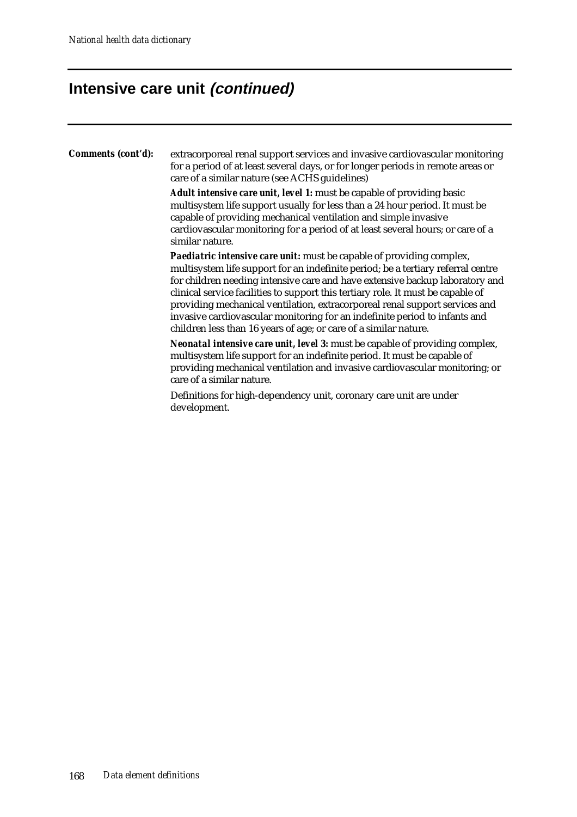# **Intensive care unit (continued)**

| Comments (cont'd): | extracorporeal renal support services and invasive cardiovascular monitoring<br>for a period of at least several days, or for longer periods in remote areas or<br>care of a similar nature (see ACHS guidelines)                                                                                                                                                                                                                                                                                                                                              |
|--------------------|----------------------------------------------------------------------------------------------------------------------------------------------------------------------------------------------------------------------------------------------------------------------------------------------------------------------------------------------------------------------------------------------------------------------------------------------------------------------------------------------------------------------------------------------------------------|
|                    | <b>Adult intensive care unit, level 1:</b> must be capable of providing basic<br>multisystem life support usually for less than a 24 hour period. It must be<br>capable of providing mechanical ventilation and simple invasive<br>cardiovascular monitoring for a period of at least several hours; or care of a<br>similar nature.                                                                                                                                                                                                                           |
|                    | Paediatric intensive care unit: must be capable of providing complex,<br>multisystem life support for an indefinite period; be a tertiary referral centre<br>for children needing intensive care and have extensive backup laboratory and<br>clinical service facilities to support this tertiary role. It must be capable of<br>providing mechanical ventilation, extracorporeal renal support services and<br>invasive cardiovascular monitoring for an indefinite period to infants and<br>children less than 16 years of age; or care of a similar nature. |
|                    | Neonatal intensive care unit, level 3: must be capable of providing complex,<br>multisystem life support for an indefinite period. It must be capable of<br>providing mechanical ventilation and invasive cardiovascular monitoring; or<br>care of a similar nature.                                                                                                                                                                                                                                                                                           |
|                    | Definitions for high-dependency unit, coronary care unit are under<br>development.                                                                                                                                                                                                                                                                                                                                                                                                                                                                             |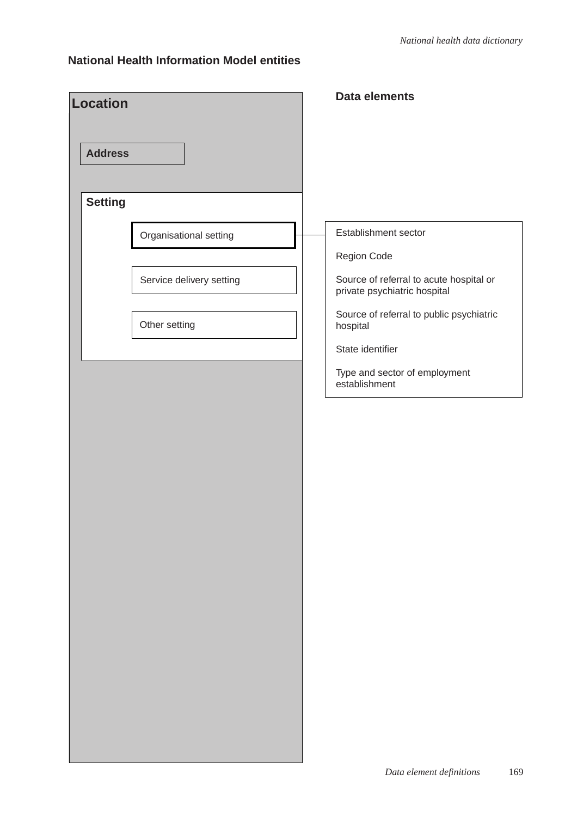| <b>Location</b> |                          | <b>Data elements</b>                                                                   |
|-----------------|--------------------------|----------------------------------------------------------------------------------------|
| <b>Address</b>  |                          |                                                                                        |
|                 |                          |                                                                                        |
| <b>Setting</b>  |                          |                                                                                        |
|                 | Organisational setting   | Establishment sector                                                                   |
|                 | Service delivery setting | Region Code<br>Source of referral to acute hospital or<br>private psychiatric hospital |
|                 | Other setting            | Source of referral to public psychiatric<br>hospital                                   |
|                 |                          | State identifier                                                                       |
|                 |                          | Type and sector of employment<br>establishment                                         |
|                 |                          |                                                                                        |
|                 |                          |                                                                                        |
|                 |                          |                                                                                        |
|                 |                          |                                                                                        |
|                 |                          |                                                                                        |
|                 |                          |                                                                                        |
|                 |                          |                                                                                        |
|                 |                          |                                                                                        |
|                 |                          |                                                                                        |
|                 |                          |                                                                                        |
|                 |                          |                                                                                        |
|                 |                          |                                                                                        |
|                 |                          |                                                                                        |
|                 |                          |                                                                                        |
|                 |                          |                                                                                        |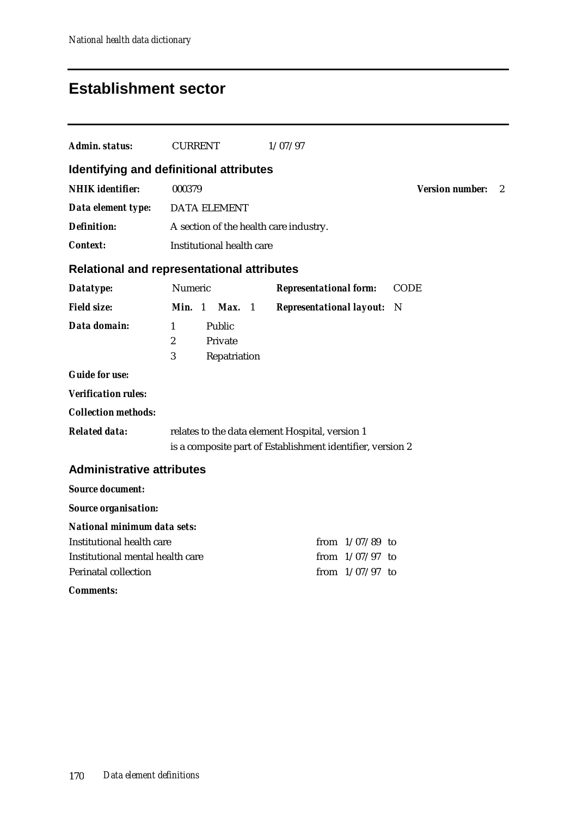# **Establishment sector**

| <b>Admin. status:</b>                   | <b>CURRENT</b>                                                             | 1/07/97                                                    |                               |  |  |
|-----------------------------------------|----------------------------------------------------------------------------|------------------------------------------------------------|-------------------------------|--|--|
| Identifying and definitional attributes |                                                                            |                                                            |                               |  |  |
| <b>NHIK</b> identifier:                 | 000379                                                                     |                                                            | <b>Version number:</b><br>- 2 |  |  |
| Data element type:                      | <b>DATA ELEMENT</b>                                                        |                                                            |                               |  |  |
| <b>Definition:</b>                      | A section of the health care industry.                                     |                                                            |                               |  |  |
| <b>Context:</b>                         | Institutional health care                                                  |                                                            |                               |  |  |
|                                         | <b>Relational and representational attributes</b>                          |                                                            |                               |  |  |
| Datatype:                               | Numeric                                                                    | <b>Representational form:</b>                              | <b>CODE</b>                   |  |  |
| <b>Field size:</b>                      | Min. 1<br>Max. 1                                                           | <b>Representational layout:</b>                            | - N                           |  |  |
| Data domain:                            | Public<br>$\mathbf{1}$<br>$\boldsymbol{2}$<br>Private<br>3<br>Repatriation |                                                            |                               |  |  |
| <b>Guide for use:</b>                   |                                                                            |                                                            |                               |  |  |
| <b>Verification rules:</b>              |                                                                            |                                                            |                               |  |  |
| <b>Collection methods:</b>              |                                                                            |                                                            |                               |  |  |
| <b>Related data:</b>                    | relates to the data element Hospital, version 1                            | is a composite part of Establishment identifier, version 2 |                               |  |  |
| <b>Administrative attributes</b>        |                                                                            |                                                            |                               |  |  |
| <b>Source document:</b>                 |                                                                            |                                                            |                               |  |  |
| <b>Source organisation:</b>             |                                                                            |                                                            |                               |  |  |
| <b>National minimum data sets:</b>      |                                                                            |                                                            |                               |  |  |
| <b>Institutional health care</b>        |                                                                            | from $1/07/89$ to                                          |                               |  |  |
| Institutional mental health care        |                                                                            | from $1/07/97$ to                                          |                               |  |  |
| <b>Perinatal collection</b>             |                                                                            | from $1/07/97$ to                                          |                               |  |  |
| <b>Comments:</b>                        |                                                                            |                                                            |                               |  |  |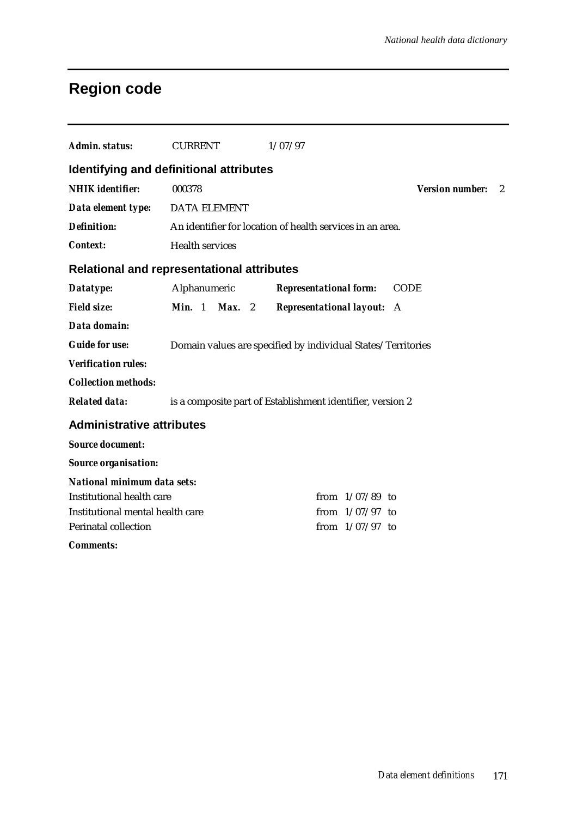# **Region code**

| Admin. status:                   | <b>CURRENT</b>                                               | 1/07/97                                                    |                             |  |  |  |
|----------------------------------|--------------------------------------------------------------|------------------------------------------------------------|-----------------------------|--|--|--|
|                                  | Identifying and definitional attributes                      |                                                            |                             |  |  |  |
| <b>NHIK</b> identifier:          | 000378                                                       |                                                            | <b>Version number:</b><br>2 |  |  |  |
| Data element type:               | <b>DATA ELEMENT</b>                                          |                                                            |                             |  |  |  |
| <b>Definition:</b>               |                                                              | An identifier for location of health services in an area.  |                             |  |  |  |
| <b>Context:</b>                  | <b>Health services</b>                                       |                                                            |                             |  |  |  |
|                                  | <b>Relational and representational attributes</b>            |                                                            |                             |  |  |  |
| Datatype:                        | Alphanumeric                                                 | <b>Representational form:</b>                              | <b>CODE</b>                 |  |  |  |
| <b>Field size:</b>               | $Max.$ 2<br><b>Min.</b> $1$                                  | <b>Representational layout:</b>                            | A                           |  |  |  |
| Data domain:                     |                                                              |                                                            |                             |  |  |  |
| <b>Guide for use:</b>            | Domain values are specified by individual States/Territories |                                                            |                             |  |  |  |
| <b>Verification rules:</b>       |                                                              |                                                            |                             |  |  |  |
| <b>Collection methods:</b>       |                                                              |                                                            |                             |  |  |  |
| <b>Related data:</b>             |                                                              | is a composite part of Establishment identifier, version 2 |                             |  |  |  |
| <b>Administrative attributes</b> |                                                              |                                                            |                             |  |  |  |
| <b>Source document:</b>          |                                                              |                                                            |                             |  |  |  |
| <b>Source organisation:</b>      |                                                              |                                                            |                             |  |  |  |
| National minimum data sets:      |                                                              |                                                            |                             |  |  |  |
| <b>Institutional health care</b> |                                                              | from $1/07/89$ to                                          |                             |  |  |  |
| Institutional mental health care | from $1/07/97$ to                                            |                                                            |                             |  |  |  |
| <b>Perinatal collection</b>      |                                                              | from $1/07/97$ to                                          |                             |  |  |  |
| <b>Comments:</b>                 |                                                              |                                                            |                             |  |  |  |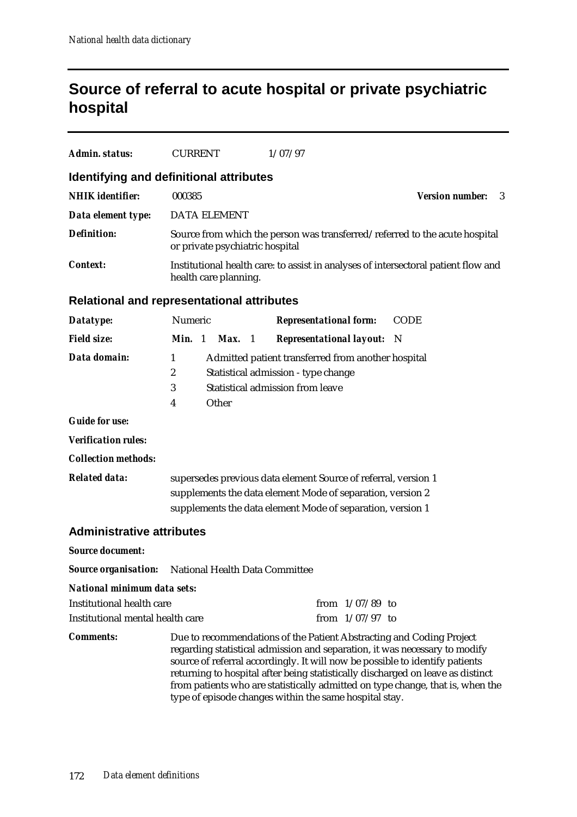# **Source of referral to acute hospital or private psychiatric hospital**

| <b>Admin. status:</b>            | <b>CURRENT</b>                                                                                                                                                                             | 1/07/97                                                                                                                                                                                                                                                                                                                                                                                                                                                           |             |  |  |  |  |
|----------------------------------|--------------------------------------------------------------------------------------------------------------------------------------------------------------------------------------------|-------------------------------------------------------------------------------------------------------------------------------------------------------------------------------------------------------------------------------------------------------------------------------------------------------------------------------------------------------------------------------------------------------------------------------------------------------------------|-------------|--|--|--|--|
|                                  | Identifying and definitional attributes                                                                                                                                                    |                                                                                                                                                                                                                                                                                                                                                                                                                                                                   |             |  |  |  |  |
| <b>NHIK</b> identifier:          | 000385                                                                                                                                                                                     | <b>Version number:</b><br>3                                                                                                                                                                                                                                                                                                                                                                                                                                       |             |  |  |  |  |
| Data element type:               | <b>DATA ELEMENT</b>                                                                                                                                                                        |                                                                                                                                                                                                                                                                                                                                                                                                                                                                   |             |  |  |  |  |
| <b>Definition:</b>               | or private psychiatric hospital                                                                                                                                                            | Source from which the person was transferred/referred to the acute hospital                                                                                                                                                                                                                                                                                                                                                                                       |             |  |  |  |  |
| <b>Context:</b>                  | health care planning.                                                                                                                                                                      | Institutional health care: to assist in analyses of intersectoral patient flow and                                                                                                                                                                                                                                                                                                                                                                                |             |  |  |  |  |
|                                  | <b>Relational and representational attributes</b>                                                                                                                                          |                                                                                                                                                                                                                                                                                                                                                                                                                                                                   |             |  |  |  |  |
| Datatype:                        | Numeric                                                                                                                                                                                    | <b>Representational form:</b>                                                                                                                                                                                                                                                                                                                                                                                                                                     | <b>CODE</b> |  |  |  |  |
| <b>Field size:</b>               | Min. 1<br><b>Max.</b> 1                                                                                                                                                                    | <b>Representational layout:</b>                                                                                                                                                                                                                                                                                                                                                                                                                                   | - N         |  |  |  |  |
| Data domain:                     | Admitted patient transferred from another hospital<br>1<br>2<br>Statistical admission - type change<br>Statistical admission from leave<br>3<br>Other<br>4                                 |                                                                                                                                                                                                                                                                                                                                                                                                                                                                   |             |  |  |  |  |
| <b>Guide for use:</b>            |                                                                                                                                                                                            |                                                                                                                                                                                                                                                                                                                                                                                                                                                                   |             |  |  |  |  |
| <b>Verification rules:</b>       |                                                                                                                                                                                            |                                                                                                                                                                                                                                                                                                                                                                                                                                                                   |             |  |  |  |  |
| <b>Collection methods:</b>       |                                                                                                                                                                                            |                                                                                                                                                                                                                                                                                                                                                                                                                                                                   |             |  |  |  |  |
| <b>Related data:</b>             | supersedes previous data element Source of referral, version 1<br>supplements the data element Mode of separation, version 2<br>supplements the data element Mode of separation, version 1 |                                                                                                                                                                                                                                                                                                                                                                                                                                                                   |             |  |  |  |  |
| <b>Administrative attributes</b> |                                                                                                                                                                                            |                                                                                                                                                                                                                                                                                                                                                                                                                                                                   |             |  |  |  |  |
| <b>Source document:</b>          |                                                                                                                                                                                            |                                                                                                                                                                                                                                                                                                                                                                                                                                                                   |             |  |  |  |  |
| <b>Source organisation:</b>      | National Health Data Committee                                                                                                                                                             |                                                                                                                                                                                                                                                                                                                                                                                                                                                                   |             |  |  |  |  |
| National minimum data sets:      |                                                                                                                                                                                            |                                                                                                                                                                                                                                                                                                                                                                                                                                                                   |             |  |  |  |  |
| <b>Institutional health care</b> |                                                                                                                                                                                            | from $1/07/89$ to                                                                                                                                                                                                                                                                                                                                                                                                                                                 |             |  |  |  |  |
| Institutional mental health care |                                                                                                                                                                                            | from $1/07/97$ to                                                                                                                                                                                                                                                                                                                                                                                                                                                 |             |  |  |  |  |
| <b>Comments:</b>                 |                                                                                                                                                                                            | Due to recommendations of the Patient Abstracting and Coding Project<br>regarding statistical admission and separation, it was necessary to modify<br>source of referral accordingly. It will now be possible to identify patients<br>returning to hospital after being statistically discharged on leave as distinct<br>from patients who are statistically admitted on type change, that is, when the<br>type of episode changes within the same hospital stay. |             |  |  |  |  |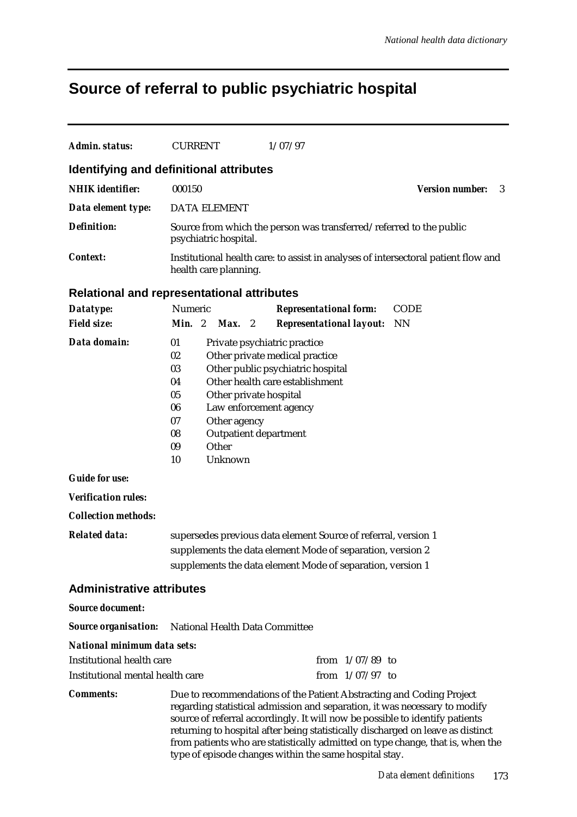# **Source of referral to public psychiatric hospital**

| Admin. status:                                                                                                            | <b>CURRENT</b>                                                                                                                                                                                                                                                                                                        | 1/07/97                                                                                                                                                                                                                                                                                                                              |                             |  |
|---------------------------------------------------------------------------------------------------------------------------|-----------------------------------------------------------------------------------------------------------------------------------------------------------------------------------------------------------------------------------------------------------------------------------------------------------------------|--------------------------------------------------------------------------------------------------------------------------------------------------------------------------------------------------------------------------------------------------------------------------------------------------------------------------------------|-----------------------------|--|
|                                                                                                                           | Identifying and definitional attributes                                                                                                                                                                                                                                                                               |                                                                                                                                                                                                                                                                                                                                      |                             |  |
| <b>NHIK</b> identifier:                                                                                                   | 000150                                                                                                                                                                                                                                                                                                                |                                                                                                                                                                                                                                                                                                                                      | <b>Version number:</b><br>3 |  |
| Data element type:                                                                                                        | <b>DATA ELEMENT</b>                                                                                                                                                                                                                                                                                                   |                                                                                                                                                                                                                                                                                                                                      |                             |  |
| Definition:                                                                                                               |                                                                                                                                                                                                                                                                                                                       | Source from which the person was transferred/referred to the public                                                                                                                                                                                                                                                                  |                             |  |
|                                                                                                                           | psychiatric hospital.                                                                                                                                                                                                                                                                                                 |                                                                                                                                                                                                                                                                                                                                      |                             |  |
| Context:                                                                                                                  | health care planning.                                                                                                                                                                                                                                                                                                 | Institutional health care: to assist in analyses of intersectoral patient flow and                                                                                                                                                                                                                                                   |                             |  |
|                                                                                                                           | <b>Relational and representational attributes</b>                                                                                                                                                                                                                                                                     |                                                                                                                                                                                                                                                                                                                                      |                             |  |
| Datatype:                                                                                                                 | Numeric                                                                                                                                                                                                                                                                                                               | <b>Representational form:</b>                                                                                                                                                                                                                                                                                                        | <b>CODE</b>                 |  |
| <b>Field size:</b>                                                                                                        | Min. 2<br>$Max.$ 2                                                                                                                                                                                                                                                                                                    | <b>Representational layout:</b>                                                                                                                                                                                                                                                                                                      | <b>NN</b>                   |  |
| Data domain:<br><b>Guide for use:</b><br><b>Verification rules:</b><br><b>Collection methods:</b><br><b>Related data:</b> | 01<br>02<br>03<br>04<br>05<br>Other private hospital<br>06<br>Law enforcement agency<br>Other agency<br>07<br>08<br><b>Outpatient department</b><br>Other<br>09<br>Unknown<br>10                                                                                                                                      | Private psychiatric practice<br>Other private medical practice<br>Other public psychiatric hospital<br>Other health care establishment<br>supersedes previous data element Source of referral, version 1<br>supplements the data element Mode of separation, version 2<br>supplements the data element Mode of separation, version 1 |                             |  |
| <b>Administrative attributes</b>                                                                                          |                                                                                                                                                                                                                                                                                                                       |                                                                                                                                                                                                                                                                                                                                      |                             |  |
| <b>Source document:</b>                                                                                                   |                                                                                                                                                                                                                                                                                                                       |                                                                                                                                                                                                                                                                                                                                      |                             |  |
| <b>Source organisation:</b>                                                                                               | National Health Data Committee                                                                                                                                                                                                                                                                                        |                                                                                                                                                                                                                                                                                                                                      |                             |  |
| National minimum data sets:                                                                                               |                                                                                                                                                                                                                                                                                                                       |                                                                                                                                                                                                                                                                                                                                      |                             |  |
| Institutional health care                                                                                                 |                                                                                                                                                                                                                                                                                                                       | from $1/07/89$ to                                                                                                                                                                                                                                                                                                                    |                             |  |
| Institutional mental health care                                                                                          |                                                                                                                                                                                                                                                                                                                       | from $1/07/97$ to                                                                                                                                                                                                                                                                                                                    |                             |  |
| <b>Comments:</b>                                                                                                          | Due to recommendations of the Patient Abstracting and Coding Project<br>regarding statistical admission and separation, it was necessary to modify<br>source of referral accordingly. It will now be possible to identify patients<br>returning to hospital after being statistically discharged on leave as distinct |                                                                                                                                                                                                                                                                                                                                      |                             |  |

from patients who are statistically admitted on type change, that is, when the

type of episode changes within the same hospital stay.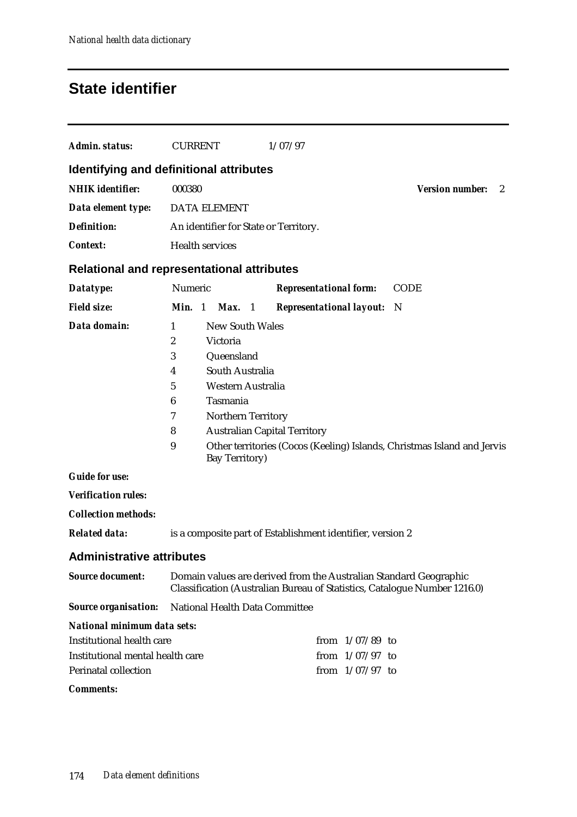## **State identifier**

| Admin. status:                                                                                    | <b>CURRENT</b>                                                                                                                                                                                                                                        | 1/07/97                                                                                                                                        |                             |
|---------------------------------------------------------------------------------------------------|-------------------------------------------------------------------------------------------------------------------------------------------------------------------------------------------------------------------------------------------------------|------------------------------------------------------------------------------------------------------------------------------------------------|-----------------------------|
|                                                                                                   | Identifying and definitional attributes                                                                                                                                                                                                               |                                                                                                                                                |                             |
| <b>NHIK</b> identifier:                                                                           | 000380                                                                                                                                                                                                                                                |                                                                                                                                                | <b>Version number:</b><br>2 |
| Data element type:                                                                                | <b>DATA ELEMENT</b>                                                                                                                                                                                                                                   |                                                                                                                                                |                             |
| <b>Definition:</b>                                                                                | An identifier for State or Territory.                                                                                                                                                                                                                 |                                                                                                                                                |                             |
| <b>Context:</b>                                                                                   | <b>Health services</b>                                                                                                                                                                                                                                |                                                                                                                                                |                             |
|                                                                                                   | <b>Relational and representational attributes</b>                                                                                                                                                                                                     |                                                                                                                                                |                             |
| Datatype:                                                                                         | Numeric                                                                                                                                                                                                                                               | <b>Representational form:</b>                                                                                                                  | <b>CODE</b>                 |
| <b>Field size:</b>                                                                                | Min. 1<br>Max. 1                                                                                                                                                                                                                                      | <b>Representational layout:</b>                                                                                                                | - N                         |
| Data domain:<br><b>Guide for use:</b><br><b>Verification rules:</b><br><b>Collection methods:</b> | <b>New South Wales</b><br>1<br>$\boldsymbol{2}$<br>Victoria<br>3<br>Queensland<br>South Australia<br>4<br>$\bf 5$<br>Western Australia<br>Tasmania<br>6<br>Northern Territory<br>7<br>8<br><b>Australian Capital Territory</b><br>9<br>Bay Territory) | Other territories (Cocos (Keeling) Islands, Christmas Island and Jervis                                                                        |                             |
| <b>Related data:</b>                                                                              |                                                                                                                                                                                                                                                       | is a composite part of Establishment identifier, version 2                                                                                     |                             |
| <b>Administrative attributes</b>                                                                  |                                                                                                                                                                                                                                                       |                                                                                                                                                |                             |
| <b>Source document:</b>                                                                           |                                                                                                                                                                                                                                                       | Domain values are derived from the Australian Standard Geographic<br>Classification (Australian Bureau of Statistics, Catalogue Number 1216.0) |                             |
| <b>Source organisation:</b>                                                                       | National Health Data Committee                                                                                                                                                                                                                        |                                                                                                                                                |                             |
| <b>National minimum data sets:</b><br>Institutional health care                                   |                                                                                                                                                                                                                                                       | from $1/07/89$ to                                                                                                                              |                             |
| Institutional mental health care                                                                  |                                                                                                                                                                                                                                                       | from $1/07/97$ to                                                                                                                              |                             |
| <b>Perinatal collection</b>                                                                       |                                                                                                                                                                                                                                                       | from $1/07/97$ to                                                                                                                              |                             |
| <b>Comments:</b>                                                                                  |                                                                                                                                                                                                                                                       |                                                                                                                                                |                             |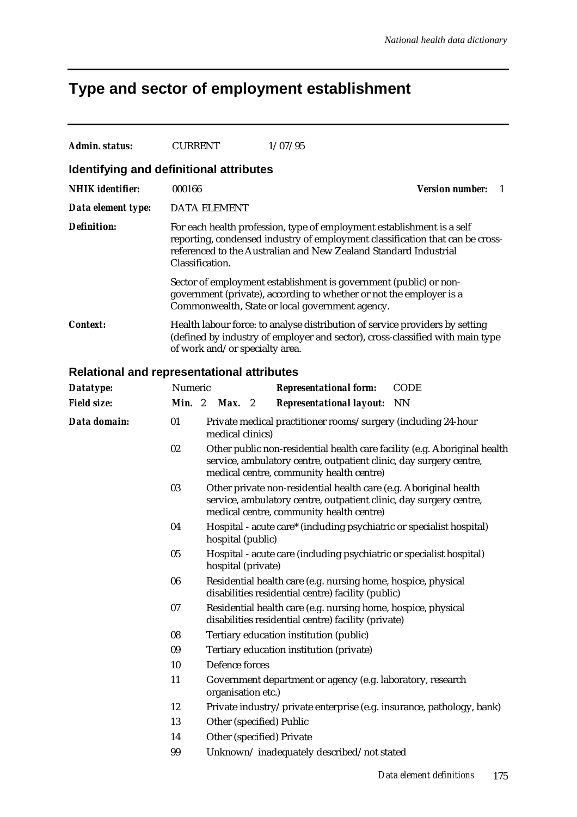# **Type and sector of employment establishment**

| Admin. status:                                    | <b>CURRENT</b>  |                                                                                                                                                                                                                             |  | 1/07/95                                                                                                                                                                                     |                                                                       |  |  |
|---------------------------------------------------|-----------------|-----------------------------------------------------------------------------------------------------------------------------------------------------------------------------------------------------------------------------|--|---------------------------------------------------------------------------------------------------------------------------------------------------------------------------------------------|-----------------------------------------------------------------------|--|--|
| Identifying and definitional attributes           |                 |                                                                                                                                                                                                                             |  |                                                                                                                                                                                             |                                                                       |  |  |
| <b>NHIK</b> identifier:                           | 000166          |                                                                                                                                                                                                                             |  |                                                                                                                                                                                             | <b>Version number:</b><br>1                                           |  |  |
| Data element type:                                |                 | <b>DATA ELEMENT</b>                                                                                                                                                                                                         |  |                                                                                                                                                                                             |                                                                       |  |  |
| <b>Definition:</b>                                | Classification. | For each health profession, type of employment establishment is a self<br>reporting, condensed industry of employment classification that can be cross-<br>referenced to the Australian and New Zealand Standard Industrial |  |                                                                                                                                                                                             |                                                                       |  |  |
|                                                   |                 |                                                                                                                                                                                                                             |  | Sector of employment establishment is government (public) or non-<br>government (private), according to whether or not the employer is a<br>Commonwealth, State or local government agency. |                                                                       |  |  |
| <b>Context:</b>                                   |                 | Health labour force: to analyse distribution of service providers by setting<br>(defined by industry of employer and sector), cross-classified with main type<br>of work and/or specialty area.                             |  |                                                                                                                                                                                             |                                                                       |  |  |
| <b>Relational and representational attributes</b> |                 |                                                                                                                                                                                                                             |  |                                                                                                                                                                                             |                                                                       |  |  |
| Datatype:                                         | Numeric         |                                                                                                                                                                                                                             |  | <b>Representational form:</b>                                                                                                                                                               | <b>CODE</b>                                                           |  |  |
| <b>Field size:</b>                                |                 | Min. 2 Max. 2                                                                                                                                                                                                               |  | <b>Representational layout:</b>                                                                                                                                                             | NN                                                                    |  |  |
| Data domain:                                      | 01              | medical clinics)                                                                                                                                                                                                            |  | Private medical practitioner rooms/surgery (including 24-hour                                                                                                                               |                                                                       |  |  |
|                                                   | 02              | Other public non-residential health care facility (e.g. Aboriginal health<br>service, ambulatory centre, outpatient clinic, day surgery centre,<br>medical centre, community health centre)                                 |  |                                                                                                                                                                                             |                                                                       |  |  |
|                                                   | 03              |                                                                                                                                                                                                                             |  | Other private non-residential health care (e.g. Aboriginal health<br>service, ambulatory centre, outpatient clinic, day surgery centre,<br>medical centre, community health centre)         |                                                                       |  |  |
|                                                   | 04              | hospital (public)                                                                                                                                                                                                           |  | Hospital - acute care* (including psychiatric or specialist hospital)                                                                                                                       |                                                                       |  |  |
|                                                   | 05              | hospital (private)                                                                                                                                                                                                          |  | Hospital - acute care (including psychiatric or specialist hospital)                                                                                                                        |                                                                       |  |  |
|                                                   | 06              |                                                                                                                                                                                                                             |  | Residential health care (e.g. nursing home, hospice, physical<br>disabilities residential centre) facility (public)                                                                         |                                                                       |  |  |
|                                                   | 07              |                                                                                                                                                                                                                             |  | Residential health care (e.g. nursing home, hospice, physical<br>disabilities residential centre) facility (private)                                                                        |                                                                       |  |  |
|                                                   | 08              |                                                                                                                                                                                                                             |  | Tertiary education institution (public)                                                                                                                                                     |                                                                       |  |  |
|                                                   | 09              |                                                                                                                                                                                                                             |  | Tertiary education institution (private)                                                                                                                                                    |                                                                       |  |  |
|                                                   | 10              | Defence forces                                                                                                                                                                                                              |  |                                                                                                                                                                                             |                                                                       |  |  |
|                                                   | 11              | organisation etc.)                                                                                                                                                                                                          |  | Government department or agency (e.g. laboratory, research                                                                                                                                  |                                                                       |  |  |
|                                                   | 12              |                                                                                                                                                                                                                             |  |                                                                                                                                                                                             | Private industry/private enterprise (e.g. insurance, pathology, bank) |  |  |
|                                                   | 13              | Other (specified) Public                                                                                                                                                                                                    |  |                                                                                                                                                                                             |                                                                       |  |  |
|                                                   | 14              | Other (specified) Private                                                                                                                                                                                                   |  |                                                                                                                                                                                             |                                                                       |  |  |
|                                                   | 99              |                                                                                                                                                                                                                             |  | Unknown/inadequately described/not stated                                                                                                                                                   |                                                                       |  |  |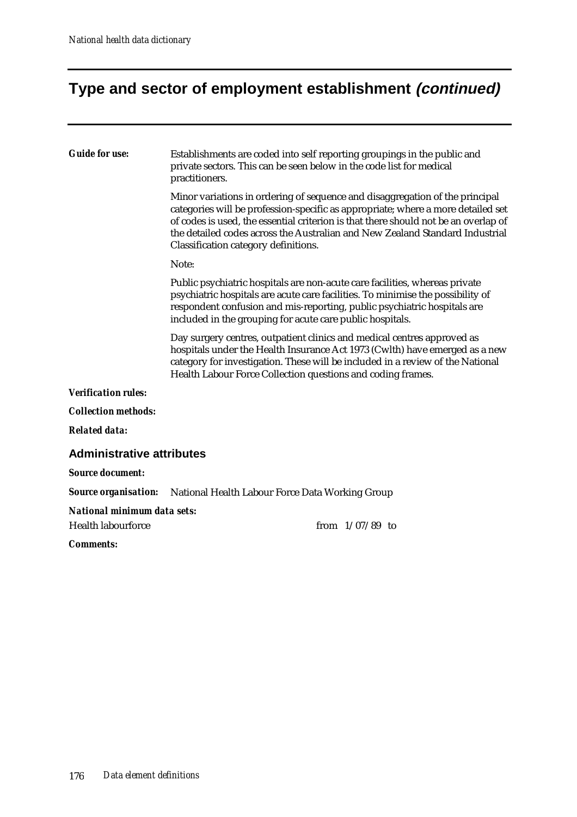## **Type and sector of employment establishment (continued)**

### *Guide for use:* Establishments are coded into self reporting groupings in the public and private sectors. This can be seen below in the code list for medical practitioners. Minor variations in ordering of sequence and disaggregation of the principal categories will be profession-specific as appropriate; where a more detailed set of codes is used, the essential criterion is that there should not be an overlap of the detailed codes across the Australian and New Zealand Standard Industrial Classification category definitions. Note: Public psychiatric hospitals are non-acute care facilities, whereas private psychiatric hospitals are acute care facilities. To minimise the possibility of respondent confusion and mis-reporting, public psychiatric hospitals are included in the grouping for acute care public hospitals. Day surgery centres, outpatient clinics and medical centres approved as hospitals under the Health Insurance Act 1973 (Cwlth) have emerged as a new category for investigation. These will be included in a review of the National Health Labour Force Collection questions and coding frames. *Verification rules: Collection methods: Related data:* **Administrative attributes** *Source document: Source organisation:* National Health Labour Force Data Working Group *National minimum data sets:* Health labourforce from 1/07/89 to *Comments:*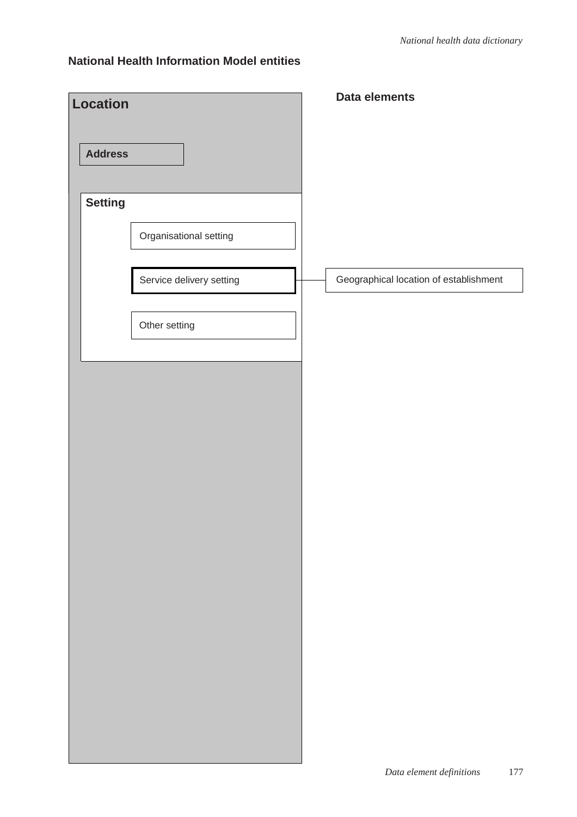| <b>Location</b> |                          | Data elements                          |
|-----------------|--------------------------|----------------------------------------|
| <b>Address</b>  |                          |                                        |
| <b>Setting</b>  |                          |                                        |
|                 | Organisational setting   |                                        |
|                 | Service delivery setting | Geographical location of establishment |
|                 | Other setting            |                                        |
|                 |                          |                                        |
|                 |                          |                                        |
|                 |                          |                                        |
|                 |                          |                                        |
|                 |                          |                                        |
|                 |                          |                                        |
|                 |                          |                                        |
|                 |                          |                                        |
|                 |                          |                                        |
|                 |                          |                                        |
|                 |                          |                                        |
|                 |                          |                                        |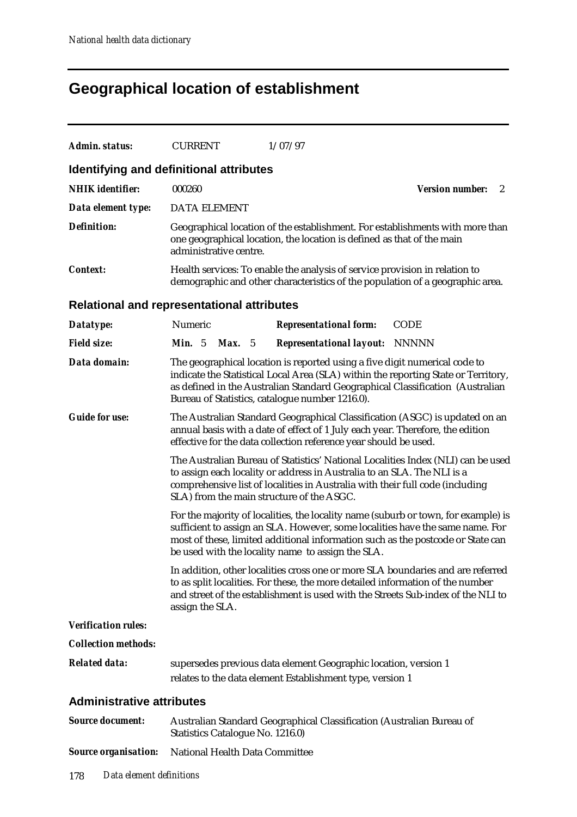# **Geographical location of establishment**

| <b>Admin. status:</b>                             | <b>CURRENT</b>                                                                                                                                                                                                                                                                                       | 1/07/97                                                                                                                                                                                                                                                                                                     |                             |  |  |  |
|---------------------------------------------------|------------------------------------------------------------------------------------------------------------------------------------------------------------------------------------------------------------------------------------------------------------------------------------------------------|-------------------------------------------------------------------------------------------------------------------------------------------------------------------------------------------------------------------------------------------------------------------------------------------------------------|-----------------------------|--|--|--|
| Identifying and definitional attributes           |                                                                                                                                                                                                                                                                                                      |                                                                                                                                                                                                                                                                                                             |                             |  |  |  |
| <b>NHIK</b> identifier:                           | 000260                                                                                                                                                                                                                                                                                               |                                                                                                                                                                                                                                                                                                             | <b>Version number:</b><br>2 |  |  |  |
| Data element type:                                | <b>DATA ELEMENT</b>                                                                                                                                                                                                                                                                                  |                                                                                                                                                                                                                                                                                                             |                             |  |  |  |
| <b>Definition:</b>                                | administrative centre.                                                                                                                                                                                                                                                                               | Geographical location of the establishment. For establishments with more than<br>one geographical location, the location is defined as that of the main                                                                                                                                                     |                             |  |  |  |
| <b>Context:</b>                                   |                                                                                                                                                                                                                                                                                                      | Health services: To enable the analysis of service provision in relation to<br>demographic and other characteristics of the population of a geographic area.                                                                                                                                                |                             |  |  |  |
| <b>Relational and representational attributes</b> |                                                                                                                                                                                                                                                                                                      |                                                                                                                                                                                                                                                                                                             |                             |  |  |  |
| Datatype:                                         | Numeric                                                                                                                                                                                                                                                                                              | <b>Representational form:</b>                                                                                                                                                                                                                                                                               | <b>CODE</b>                 |  |  |  |
| <b>Field size:</b>                                | <b>Min.</b> 5<br><b>Max.</b> 5                                                                                                                                                                                                                                                                       | <b>Representational layout: NNNNN</b>                                                                                                                                                                                                                                                                       |                             |  |  |  |
| Data domain:                                      | The geographical location is reported using a five digit numerical code to<br>indicate the Statistical Local Area (SLA) within the reporting State or Territory,<br>as defined in the Australian Standard Geographical Classification (Australian<br>Bureau of Statistics, catalogue number 1216.0). |                                                                                                                                                                                                                                                                                                             |                             |  |  |  |
| <b>Guide for use:</b>                             | The Australian Standard Geographical Classification (ASGC) is updated on an<br>annual basis with a date of effect of 1 July each year. Therefore, the edition<br>effective for the data collection reference year should be used.                                                                    |                                                                                                                                                                                                                                                                                                             |                             |  |  |  |
|                                                   | The Australian Bureau of Statistics' National Localities Index (NLI) can be used<br>to assign each locality or address in Australia to an SLA. The NLI is a<br>comprehensive list of localities in Australia with their full code (including<br>SLA) from the main structure of the ASGC.            |                                                                                                                                                                                                                                                                                                             |                             |  |  |  |
|                                                   |                                                                                                                                                                                                                                                                                                      | For the majority of localities, the locality name (suburb or town, for example) is<br>sufficient to assign an SLA. However, some localities have the same name. For<br>most of these, limited additional information such as the postcode or State can<br>be used with the locality name to assign the SLA. |                             |  |  |  |
|                                                   | assign the SLA.                                                                                                                                                                                                                                                                                      | In addition, other localities cross one or more SLA boundaries and are referred<br>to as split localities. For these, the more detailed information of the number<br>and street of the establishment is used with the Streets Sub-index of the NLI to                                                       |                             |  |  |  |
| <b>Verification rules:</b>                        |                                                                                                                                                                                                                                                                                                      |                                                                                                                                                                                                                                                                                                             |                             |  |  |  |
| <b>Collection methods:</b>                        |                                                                                                                                                                                                                                                                                                      |                                                                                                                                                                                                                                                                                                             |                             |  |  |  |
| <b>Related data:</b>                              |                                                                                                                                                                                                                                                                                                      | supersedes previous data element Geographic location, version 1<br>relates to the data element Establishment type, version 1                                                                                                                                                                                |                             |  |  |  |
| <b>Administrative attributes</b>                  |                                                                                                                                                                                                                                                                                                      |                                                                                                                                                                                                                                                                                                             |                             |  |  |  |
| <b>Source document:</b>                           | Statistics Catalogue No. 1216.0)                                                                                                                                                                                                                                                                     | Australian Standard Geographical Classification (Australian Bureau of                                                                                                                                                                                                                                       |                             |  |  |  |
| <b>Source organisation:</b>                       | National Health Data Committee                                                                                                                                                                                                                                                                       |                                                                                                                                                                                                                                                                                                             |                             |  |  |  |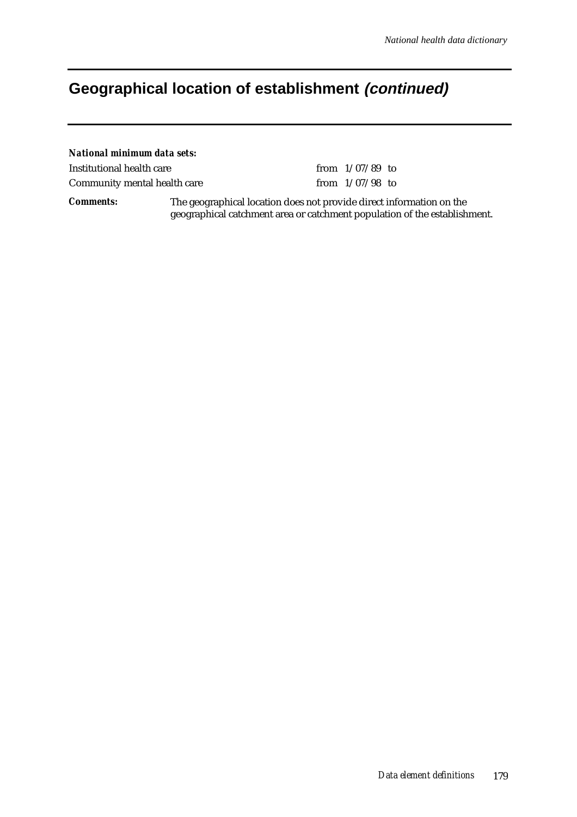# **Geographical location of establishment (continued)**

| National minimum data sets:  |                                                                      |                   |  |
|------------------------------|----------------------------------------------------------------------|-------------------|--|
| Institutional health care    |                                                                      | from $1/07/89$ to |  |
| Community mental health care |                                                                      | from $1/07/98$ to |  |
| <i>Comments:</i>             | The geographical location does not provide direct information on the |                   |  |

geographical catchment area or catchment population of the establishment.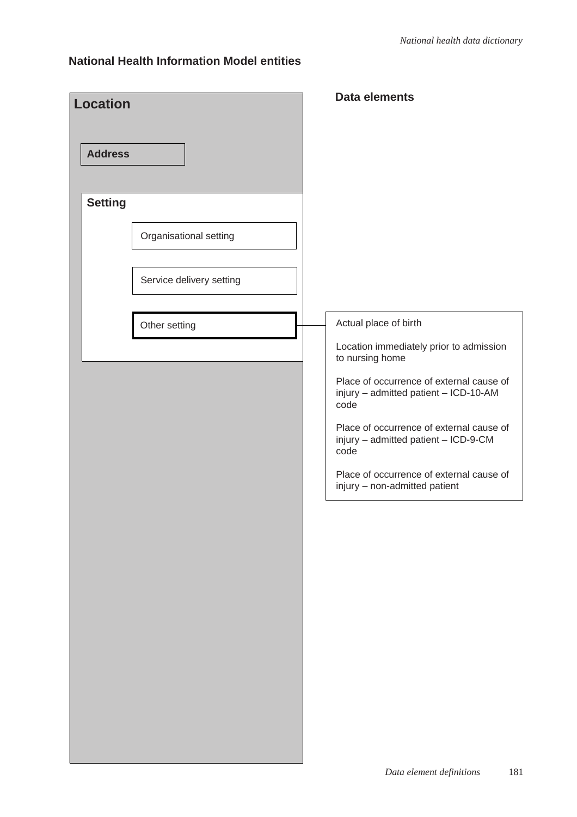| <b>Location</b>                          | <b>Data elements</b>                                                                                                                                                                                                                                                                                                                                      |
|------------------------------------------|-----------------------------------------------------------------------------------------------------------------------------------------------------------------------------------------------------------------------------------------------------------------------------------------------------------------------------------------------------------|
| <b>Address</b>                           |                                                                                                                                                                                                                                                                                                                                                           |
| <b>Setting</b><br>Organisational setting |                                                                                                                                                                                                                                                                                                                                                           |
| Service delivery setting                 |                                                                                                                                                                                                                                                                                                                                                           |
| Other setting                            | Actual place of birth<br>Location immediately prior to admission<br>to nursing home<br>Place of occurrence of external cause of<br>injury - admitted patient - ICD-10-AM<br>code<br>Place of occurrence of external cause of<br>injury - admitted patient - ICD-9-CM<br>code<br>Place of occurrence of external cause of<br>injury - non-admitted patient |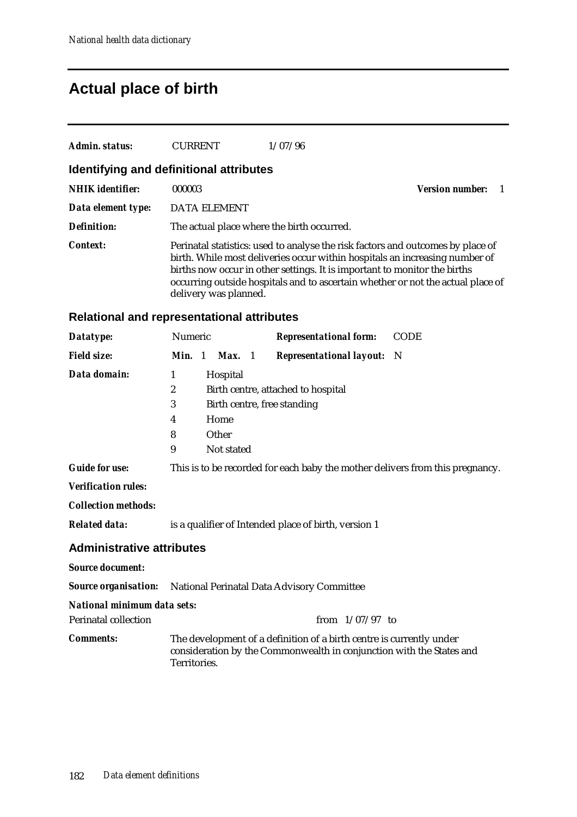# **Actual place of birth**

| Admin. status:          | <b>CURRENT</b>                             | 1/07/96                                                                                                                                                                                                                                                                                                                        |                        |
|-------------------------|--------------------------------------------|--------------------------------------------------------------------------------------------------------------------------------------------------------------------------------------------------------------------------------------------------------------------------------------------------------------------------------|------------------------|
|                         | Identifying and definitional attributes    |                                                                                                                                                                                                                                                                                                                                |                        |
| <b>NHIK</b> identifier: | 000003                                     |                                                                                                                                                                                                                                                                                                                                | <b>Version number:</b> |
| Data element type:      | <b>DATA ELEMENT</b>                        |                                                                                                                                                                                                                                                                                                                                |                        |
| Definition:             | The actual place where the birth occurred. |                                                                                                                                                                                                                                                                                                                                |                        |
| <b>Context:</b>         | delivery was planned.                      | Perinatal statistics: used to analyse the risk factors and outcomes by place of<br>birth. While most deliveries occur within hospitals an increasing number of<br>births now occur in other settings. It is important to monitor the births<br>occurring outside hospitals and to ascertain whether or not the actual place of |                        |

## **Relational and representational attributes**

| Datatype:                                                              | Numeric                                              |  |            |  | <b>Representational form:</b>                                                                                                                | <b>CODE</b> |
|------------------------------------------------------------------------|------------------------------------------------------|--|------------|--|----------------------------------------------------------------------------------------------------------------------------------------------|-------------|
| <b>Field size:</b>                                                     | Min. 1                                               |  | Max. 1     |  | <b>Representational layout:</b> N                                                                                                            |             |
| Data domain:                                                           | 1                                                    |  | Hospital   |  |                                                                                                                                              |             |
|                                                                        | $\boldsymbol{2}$                                     |  |            |  | Birth centre, attached to hospital                                                                                                           |             |
|                                                                        | 3                                                    |  |            |  | Birth centre, free standing                                                                                                                  |             |
|                                                                        | 4                                                    |  | Home       |  |                                                                                                                                              |             |
|                                                                        | 8                                                    |  | Other      |  |                                                                                                                                              |             |
|                                                                        | 9                                                    |  | Not stated |  |                                                                                                                                              |             |
| <b>Guide for use:</b>                                                  |                                                      |  |            |  | This is to be recorded for each baby the mother delivers from this pregnancy.                                                                |             |
| <b>Verification rules:</b>                                             |                                                      |  |            |  |                                                                                                                                              |             |
| <b>Collection methods:</b>                                             |                                                      |  |            |  |                                                                                                                                              |             |
| <b>Related data:</b>                                                   | is a qualifier of Intended place of birth, version 1 |  |            |  |                                                                                                                                              |             |
| <b>Administrative attributes</b>                                       |                                                      |  |            |  |                                                                                                                                              |             |
| <b>Source document:</b>                                                |                                                      |  |            |  |                                                                                                                                              |             |
| <b>Source organisation:</b> National Perinatal Data Advisory Committee |                                                      |  |            |  |                                                                                                                                              |             |
| <b>National minimum data sets:</b>                                     |                                                      |  |            |  |                                                                                                                                              |             |
| <b>Perinatal collection</b>                                            |                                                      |  |            |  | from $1/07/97$ to                                                                                                                            |             |
| <b>Comments:</b>                                                       | Territories.                                         |  |            |  | The development of a definition of a birth centre is currently under<br>consideration by the Commonwealth in conjunction with the States and |             |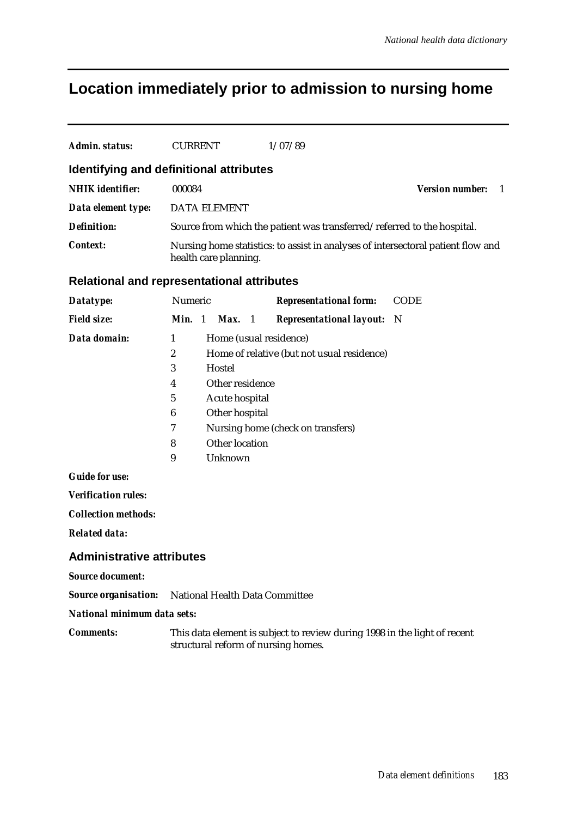## **Location immediately prior to admission to nursing home**

| Admin. status:                           | <b>CURRENT</b>                                                                                            | 1/07/89                       |                                          |  |  |  |  |
|------------------------------------------|-----------------------------------------------------------------------------------------------------------|-------------------------------|------------------------------------------|--|--|--|--|
|                                          | Identifying and definitional attributes                                                                   |                               |                                          |  |  |  |  |
| <b>NHIK</b> identifier:                  | 000084                                                                                                    |                               | <b>Version number:</b><br>$\overline{1}$ |  |  |  |  |
| Data element type:                       | <b>DATA ELEMENT</b>                                                                                       |                               |                                          |  |  |  |  |
| <b>Definition:</b>                       | Source from which the patient was transferred/referred to the hospital.                                   |                               |                                          |  |  |  |  |
| Context:                                 | Nursing home statistics: to assist in analyses of intersectoral patient flow and<br>health care planning. |                               |                                          |  |  |  |  |
|                                          | <b>Relational and representational attributes</b>                                                         |                               |                                          |  |  |  |  |
| Datatype:                                | <b>Numeric</b>                                                                                            | <b>Representational form:</b> | <b>CODE</b>                              |  |  |  |  |
| $E: \mathcal{A} \rightarrow \mathcal{A}$ | $M! \sim 1$ $M \sim 1$                                                                                    | Dennesentational lavout. N    |                                          |  |  |  |  |

| <b>Field size:</b> | <b>Min.</b> 1 | <b>Max.</b> 1<br><b>Representational layout:</b> N |
|--------------------|---------------|----------------------------------------------------|
| Data domain:       | 1             | Home (usual residence)                             |
|                    | 2             | Home of relative (but not usual residence)         |
|                    | 3             | Hostel                                             |
|                    | 4             | Other residence                                    |
|                    | 5             | Acute hospital                                     |
|                    | 6             | Other hospital                                     |
|                    | 7             | Nursing home (check on transfers)                  |
|                    | 8             | Other location                                     |
|                    | 9             | Unknown                                            |
|                    |               |                                                    |

*Guide for use:*

*Verification rules:*

*Collection methods:*

*Related data:*

#### **Administrative attributes**

*Source document:*

*Source organisation:* National Health Data Committee

*National minimum data sets:*

*Comments:* This data element is subject to review during 1998 in the light of recent structural reform of nursing homes.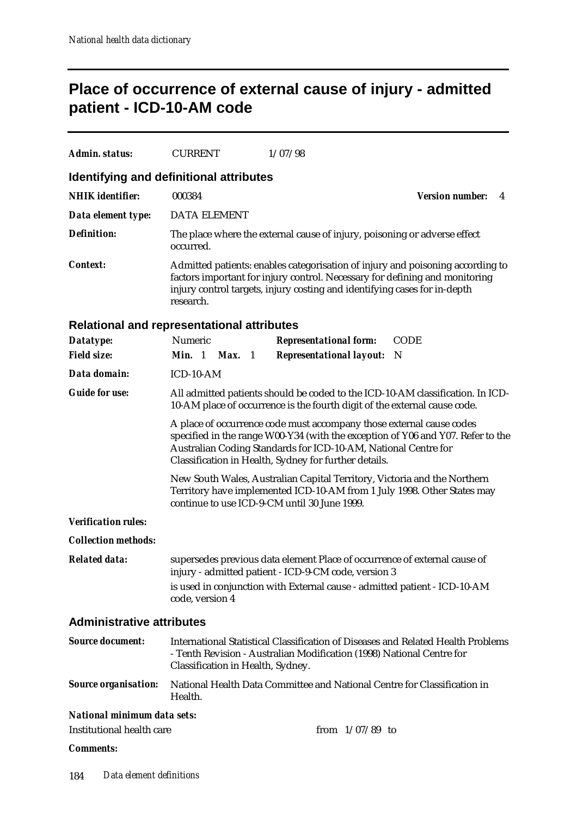## **Place of occurrence of external cause of injury - admitted patient - ICD-10-AM code**

| Admin. status:                     | <b>CURRENT</b>                                                                                                                                                                                                                                                                     | 1/07/98                                                                                                                                                                                                                                    |                             |  |  |
|------------------------------------|------------------------------------------------------------------------------------------------------------------------------------------------------------------------------------------------------------------------------------------------------------------------------------|--------------------------------------------------------------------------------------------------------------------------------------------------------------------------------------------------------------------------------------------|-----------------------------|--|--|
|                                    | Identifying and definitional attributes                                                                                                                                                                                                                                            |                                                                                                                                                                                                                                            |                             |  |  |
| <b>NHIK</b> identifier:            | 000384                                                                                                                                                                                                                                                                             |                                                                                                                                                                                                                                            | <b>Version number:</b><br>4 |  |  |
| Data element type:                 | <b>DATA ELEMENT</b>                                                                                                                                                                                                                                                                |                                                                                                                                                                                                                                            |                             |  |  |
| <b>Definition:</b>                 | occurred.                                                                                                                                                                                                                                                                          | The place where the external cause of injury, poisoning or adverse effect                                                                                                                                                                  |                             |  |  |
| <b>Context:</b>                    | research.                                                                                                                                                                                                                                                                          | Admitted patients: enables categorisation of injury and poisoning according to<br>factors important for injury control. Necessary for defining and monitoring<br>injury control targets, injury costing and identifying cases for in-depth |                             |  |  |
|                                    | <b>Relational and representational attributes</b>                                                                                                                                                                                                                                  |                                                                                                                                                                                                                                            |                             |  |  |
| Datatype:                          | Numeric                                                                                                                                                                                                                                                                            | <b>Representational form:</b>                                                                                                                                                                                                              | <b>CODE</b>                 |  |  |
| <b>Field size:</b>                 | <b>Min.</b> 1 <b>Max.</b> 1                                                                                                                                                                                                                                                        | <b>Representational layout:</b>                                                                                                                                                                                                            | N                           |  |  |
| Data domain:                       | ICD-10-AM                                                                                                                                                                                                                                                                          |                                                                                                                                                                                                                                            |                             |  |  |
| <b>Guide for use:</b>              | All admitted patients should be coded to the ICD-10-AM classification. In ICD-<br>10-AM place of occurrence is the fourth digit of the external cause code.                                                                                                                        |                                                                                                                                                                                                                                            |                             |  |  |
|                                    | A place of occurrence code must accompany those external cause codes<br>specified in the range W00-Y34 (with the exception of Y06 and Y07. Refer to the<br>Australian Coding Standards for ICD-10-AM, National Centre for<br>Classification in Health, Sydney for further details. |                                                                                                                                                                                                                                            |                             |  |  |
|                                    |                                                                                                                                                                                                                                                                                    | New South Wales, Australian Capital Territory, Victoria and the Northern<br>Territory have implemented ICD-10-AM from 1 July 1998. Other States may<br>continue to use ICD-9-CM until 30 June 1999.                                        |                             |  |  |
| <b>Verification rules:</b>         |                                                                                                                                                                                                                                                                                    |                                                                                                                                                                                                                                            |                             |  |  |
| <b>Collection methods:</b>         |                                                                                                                                                                                                                                                                                    |                                                                                                                                                                                                                                            |                             |  |  |
| <b>Related data:</b>               | supersedes previous data element Place of occurrence of external cause of<br>injury - admitted patient - ICD-9-CM code, version 3                                                                                                                                                  |                                                                                                                                                                                                                                            |                             |  |  |
|                                    | code, version 4                                                                                                                                                                                                                                                                    | is used in conjunction with External cause - admitted patient - ICD-10-AM                                                                                                                                                                  |                             |  |  |
| <b>Administrative attributes</b>   |                                                                                                                                                                                                                                                                                    |                                                                                                                                                                                                                                            |                             |  |  |
| <b>Source document:</b>            | International Statistical Classification of Diseases and Related Health Problems<br>- Tenth Revision - Australian Modification (1998) National Centre for<br>Classification in Health, Sydney.                                                                                     |                                                                                                                                                                                                                                            |                             |  |  |
| <b>Source organisation:</b>        | National Health Data Committee and National Centre for Classification in<br>Health.                                                                                                                                                                                                |                                                                                                                                                                                                                                            |                             |  |  |
| <b>National minimum data sets:</b> |                                                                                                                                                                                                                                                                                    |                                                                                                                                                                                                                                            |                             |  |  |
| Institutional health care          |                                                                                                                                                                                                                                                                                    | from $1/07/89$ to                                                                                                                                                                                                                          |                             |  |  |

*Comments:*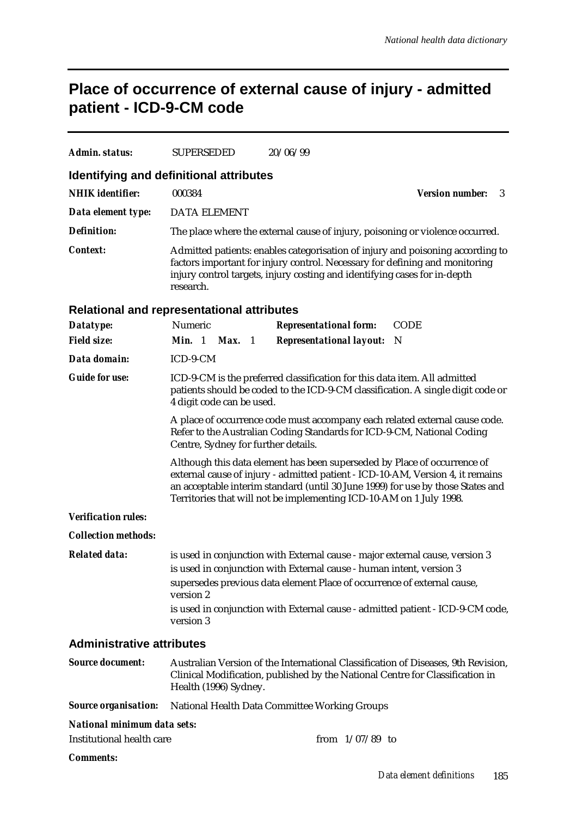# **Place of occurrence of external cause of injury - admitted patient - ICD-9-CM code**

| <b>Admin. status:</b>                             | <b>SUPERSEDED</b>                                                                                                                                                                                                                                       |  | 20/06/99                                                                                                                                                                                                                                                                                                             |                             |  |
|---------------------------------------------------|---------------------------------------------------------------------------------------------------------------------------------------------------------------------------------------------------------------------------------------------------------|--|----------------------------------------------------------------------------------------------------------------------------------------------------------------------------------------------------------------------------------------------------------------------------------------------------------------------|-----------------------------|--|
| <b>Identifying and definitional attributes</b>    |                                                                                                                                                                                                                                                         |  |                                                                                                                                                                                                                                                                                                                      |                             |  |
| <b>NHIK</b> identifier:                           | 000384                                                                                                                                                                                                                                                  |  |                                                                                                                                                                                                                                                                                                                      | <b>Version number:</b><br>3 |  |
| Data element type:                                | <b>DATA ELEMENT</b>                                                                                                                                                                                                                                     |  |                                                                                                                                                                                                                                                                                                                      |                             |  |
| <b>Definition:</b>                                |                                                                                                                                                                                                                                                         |  | The place where the external cause of injury, poisoning or violence occurred.                                                                                                                                                                                                                                        |                             |  |
| <b>Context:</b>                                   | Admitted patients: enables categorisation of injury and poisoning according to<br>factors important for injury control. Necessary for defining and monitoring<br>injury control targets, injury costing and identifying cases for in-depth<br>research. |  |                                                                                                                                                                                                                                                                                                                      |                             |  |
| <b>Relational and representational attributes</b> |                                                                                                                                                                                                                                                         |  |                                                                                                                                                                                                                                                                                                                      |                             |  |
| Datatype:                                         | Numeric                                                                                                                                                                                                                                                 |  | <b>Representational form:</b>                                                                                                                                                                                                                                                                                        | <b>CODE</b>                 |  |
| <b>Field size:</b>                                | <b>Min.</b> 1 <b>Max.</b> 1                                                                                                                                                                                                                             |  | <b>Representational layout:</b>                                                                                                                                                                                                                                                                                      | N                           |  |
| Data domain:                                      | ICD-9-CM                                                                                                                                                                                                                                                |  |                                                                                                                                                                                                                                                                                                                      |                             |  |
| <b>Guide for use:</b>                             | ICD-9-CM is the preferred classification for this data item. All admitted<br>patients should be coded to the ICD-9-CM classification. A single digit code or<br>4 digit code can be used.                                                               |  |                                                                                                                                                                                                                                                                                                                      |                             |  |
|                                                   | A place of occurrence code must accompany each related external cause code.<br>Refer to the Australian Coding Standards for ICD-9-CM, National Coding<br>Centre, Sydney for further details.                                                            |  |                                                                                                                                                                                                                                                                                                                      |                             |  |
|                                                   |                                                                                                                                                                                                                                                         |  | Although this data element has been superseded by Place of occurrence of<br>external cause of injury - admitted patient - ICD-10-AM, Version 4, it remains<br>an acceptable interim standard (until 30 June 1999) for use by those States and<br>Territories that will not be implementing ICD-10-AM on 1 July 1998. |                             |  |
| <b>Verification rules:</b>                        |                                                                                                                                                                                                                                                         |  |                                                                                                                                                                                                                                                                                                                      |                             |  |
| <b>Collection methods:</b>                        |                                                                                                                                                                                                                                                         |  |                                                                                                                                                                                                                                                                                                                      |                             |  |
| <b>Related data:</b>                              | version 2<br>version 3                                                                                                                                                                                                                                  |  | is used in conjunction with External cause - major external cause, version 3<br>is used in conjunction with External cause - human intent, version 3<br>supersedes previous data element Place of occurrence of external cause,<br>is used in conjunction with External cause - admitted patient - ICD-9-CM code,    |                             |  |
| <b>Administrative attributes</b>                  |                                                                                                                                                                                                                                                         |  |                                                                                                                                                                                                                                                                                                                      |                             |  |
| <b>Source document:</b>                           | Health (1996) Sydney.                                                                                                                                                                                                                                   |  | Australian Version of the International Classification of Diseases, 9th Revision,<br>Clinical Modification, published by the National Centre for Classification in                                                                                                                                                   |                             |  |
| <b>Source organisation:</b>                       |                                                                                                                                                                                                                                                         |  | <b>National Health Data Committee Working Groups</b>                                                                                                                                                                                                                                                                 |                             |  |
| National minimum data sets:                       |                                                                                                                                                                                                                                                         |  |                                                                                                                                                                                                                                                                                                                      |                             |  |
| <b>Institutional health care</b>                  |                                                                                                                                                                                                                                                         |  | from $1/07/89$ to                                                                                                                                                                                                                                                                                                    |                             |  |
| <b>Comments:</b>                                  |                                                                                                                                                                                                                                                         |  |                                                                                                                                                                                                                                                                                                                      |                             |  |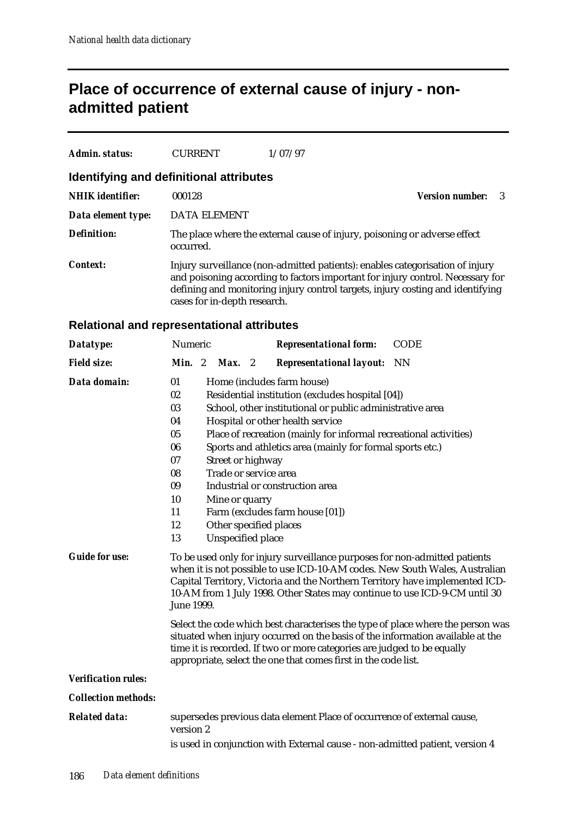## **Place of occurrence of external cause of injury - nonadmitted patient**

| Admin. status:          | <b>CURRENT</b>                                                                                                                                                                                                                                                                    | 1/07/97                                                                   |                              |
|-------------------------|-----------------------------------------------------------------------------------------------------------------------------------------------------------------------------------------------------------------------------------------------------------------------------------|---------------------------------------------------------------------------|------------------------------|
|                         | Identifying and definitional attributes                                                                                                                                                                                                                                           |                                                                           |                              |
| <b>NHIK</b> identifier: | 000128                                                                                                                                                                                                                                                                            |                                                                           | <b>Version number:</b><br>-3 |
| Data element type:      | <b>DATA ELEMENT</b>                                                                                                                                                                                                                                                               |                                                                           |                              |
| <b>Definition:</b>      | occurred.                                                                                                                                                                                                                                                                         | The place where the external cause of injury, poisoning or adverse effect |                              |
| Context:                | Injury surveillance (non-admitted patients): enables categorisation of injury<br>and poisoning according to factors important for injury control. Necessary for<br>defining and monitoring injury control targets, injury costing and identifying<br>cases for in-depth research. |                                                                           |                              |
|                         | <b>Relational and representational attributes</b>                                                                                                                                                                                                                                 |                                                                           |                              |
| Datatype:               | <b>Numeric</b>                                                                                                                                                                                                                                                                    | <b>Representational form:</b>                                             | <b>CODE</b>                  |

| <b>Field size:</b>         | Min. 2<br>$Max.$ 2<br><b>Representational layout:</b> NN                                                                                                                                                                                                                                                                              |
|----------------------------|---------------------------------------------------------------------------------------------------------------------------------------------------------------------------------------------------------------------------------------------------------------------------------------------------------------------------------------|
| Data domain:               | 01<br>Home (includes farm house)                                                                                                                                                                                                                                                                                                      |
|                            | 02<br>Residential institution (excludes hospital [04])                                                                                                                                                                                                                                                                                |
|                            | 03<br>School, other institutional or public administrative area                                                                                                                                                                                                                                                                       |
|                            | Hospital or other health service<br>04                                                                                                                                                                                                                                                                                                |
|                            | 05<br>Place of recreation (mainly for informal recreational activities)                                                                                                                                                                                                                                                               |
|                            | 06<br>Sports and athletics area (mainly for formal sports etc.)                                                                                                                                                                                                                                                                       |
|                            | 07<br>Street or highway                                                                                                                                                                                                                                                                                                               |
|                            | Trade or service area<br>08                                                                                                                                                                                                                                                                                                           |
|                            | 09<br>Industrial or construction area                                                                                                                                                                                                                                                                                                 |
|                            | 10<br>Mine or quarry                                                                                                                                                                                                                                                                                                                  |
|                            | Farm (excludes farm house [01])<br>11                                                                                                                                                                                                                                                                                                 |
|                            | 12<br>Other specified places                                                                                                                                                                                                                                                                                                          |
|                            | Unspecified place<br>13                                                                                                                                                                                                                                                                                                               |
| <b>Guide for use:</b>      | To be used only for injury surveillance purposes for non-admitted patients<br>when it is not possible to use ICD-10-AM codes. New South Wales, Australian<br>Capital Territory, Victoria and the Northern Territory have implemented ICD-<br>10-AM from 1 July 1998. Other States may continue to use ICD-9-CM until 30<br>June 1999. |
|                            | Select the code which best characterises the type of place where the person was<br>situated when injury occurred on the basis of the information available at the<br>time it is recorded. If two or more categories are judged to be equally<br>appropriate, select the one that comes first in the code list.                        |
| <b>Verification rules:</b> |                                                                                                                                                                                                                                                                                                                                       |
| <b>Collection methods:</b> |                                                                                                                                                                                                                                                                                                                                       |
| <b>Related data:</b>       | supersedes previous data element Place of occurrence of external cause,<br>version 2                                                                                                                                                                                                                                                  |
|                            | is used in conjunction with External cause - non-admitted patient, version 4                                                                                                                                                                                                                                                          |